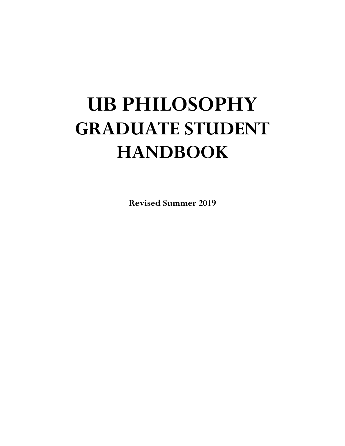# **UB PHILOSOPHY GRADUATE STUDENT HANDBOOK**

**Revised Summer 2019**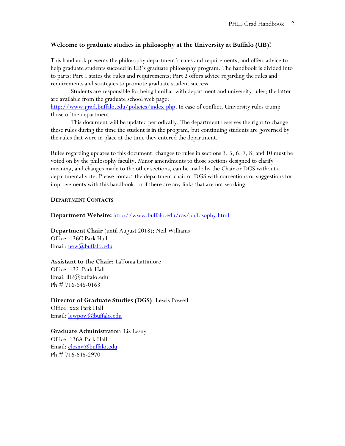# **Welcome to graduate studies in philosophy at the University at Buffalo (UB)!**

This handbook presents the philosophy department's rules and requirements, and offers advice to help graduate students succeed in UB's graduate philosophy program. The handbook is divided into to parts: Part 1 states the rules and requirements; Part 2 offers advice regarding the rules and requirements and strategies to promote graduate student success.

Students are responsible for being familiar with department and university rules; the latter are available from the graduate school web page: [http://www.grad.buffalo.edu/policies/index.php.](http://www.grad.buffalo.edu/policies/index.php) In case of conflict, University rules trump

those of the department.

This document will be updated periodically. The department reserves the right to change these rules during the time the student is in the program, but continuing students are governed by the rules that were in place at the time they entered the department.

Rules regarding updates to this document: changes to rules in sections 3, 5, 6, 7, 8, and 10 must be voted on by the philosophy faculty. Minor amendments to those sections designed to clarify meaning, and changes made to the other sections, can be made by the Chair or DGS without a departmental vote. Please contact the department chair or DGS with corrections or suggestions for improvements with this handbook, or if there are any links that are not working.

#### **DEPARTMENT CONTACTS**

**Department Website:** <http://www.buffalo.edu/cas/philosophy.html>

**Department Chair** (until August 2018): Neil Williams Office: 136C Park Hall Email: [new@buffalo.edu](mailto:new@buffalo.edu)

**Assistant to the Chair**: LaTonia Lattimore Office: 132 Park Hall Email lll2@buffalo.edu Ph.# 716-645-0163

**Director of Graduate Studies (DGS)**: Lewis Powell Office: xxx Park Hall Email: [lewpow@buffalo.edu](mailto:lewpow@buffalo.edu)

**Graduate Administrator**: Liz Lesny Office: 136A Park Hall Email: [elesny@buffalo.edu](mailto:elesny@buffalo.edu) Ph.# 716-645-2970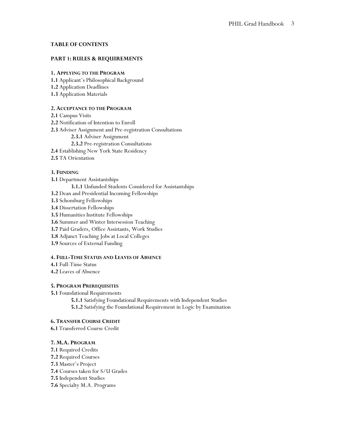#### **TABLE OF CONTENTS**

#### **PART 1: RULES & REQUIREMENTS**

#### **1. APPLYING TO THE PROGRAM**

- **1.1** Applicant's Philosophical Background
- **1.2** Application Deadlines
- **1.3** Application Materials

#### **2. ACCEPTANCE TO THE PROGRAM**

- **2.1** Campus Visits
- **2.2** Notification of Intention to Enroll
- **2.3** Adviser Assignment and Pre-registration Consultations
	- **2.3.1** Adviser Assignment
	- **2.3.2** Pre-registration Consultations
- **2.4** Establishing New York State Residency
- **2.5** TA Orientation

#### **3. FUNDING**

- **3.1** Department Assistantships
	- **3.1.1** Unfunded Students Considered for Assistantships
- **3.2** Dean and Presidential Incoming Fellowships
- **3.3** Schomburg Fellowships
- **3.4** Dissertation Fellowships
- **3.5** Humanities Institute Fellowships
- **3.6** Summer and Winter Intersession Teaching
- **3.7** Paid Graders, Office Assistants, Work Studies
- **3.8** Adjunct Teaching Jobs at Local Colleges
- **3.9** Sources of External Funding

#### **4. FULL-TIME STATUS AND LEAVES OF ABSENCE**

- **4.1** Full-Time Status
- **4.2** Leaves of Absence

#### **5. PROGRAM PREREQUISITES**

**5.1** Foundational Requirements

**5.1.1** Satisfying Foundational Requirements with Independent Studies **5.1.2** Satisfying the Foundational Requirement in Logic by Examination

#### **6. TRANSFER COURSE CREDIT**

**6.1** Transferred Course Credit

#### **7. M.A. PROGRAM**

- **7.1** Required Credits
- **7.2** Required Courses
- **7.3** Master's Project
- **7.4** Courses taken for S/U Grades
- **7.5** Independent Studies
- **7.6** Specialty M.A. Programs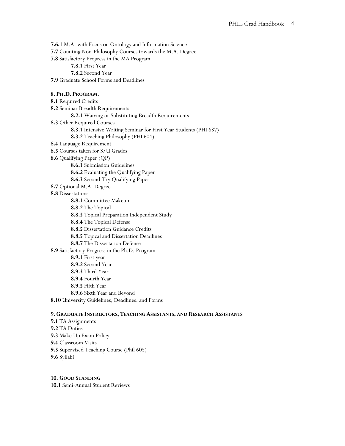**7.6.1** M.A. with Focus on Ontology and Information Science **7.7** Counting Non-Philosophy Courses towards the M.A. Degree **7.8** Satisfactory Progress in the MA Program **7.8.1** First Year **7.8.2** Second Year **7.9** Graduate School Forms and Deadlines **8. PH.D. PROGRAM. 8.1** Required Credits **8.2** Seminar Breadth Requirements **8.2.1** Waiving or Substituting Breadth Requirements **8.3** Other Required Courses **8.3.1** Intensive Writing Seminar for First Year Students (PHI 637) **8.3.2** Teaching Philosophy (PHI 604). **8.4** Language Requirement **8.5** Courses taken for S/U Grades **8.6** Qualifying Paper (QP) **8.6.1** Submission Guidelines **8.6.2** Evaluating the Qualifying Paper **8.6.3** Second-Try Qualifying Paper **8.7** Optional M.A. Degree **8.8** Dissertations **8.8.1** Committee Makeup **8.8.2** The Topical **8.8.3** Topical Preparation Independent Study **8.8.4** The Topical Defense **8.8.5** Dissertation Guidance Credits **8.8.5** Topical and Dissertation Deadlines **8.8.7** The Dissertation Defense **8.9** Satisfactory Progress in the Ph.D. Program **8.9.1** First year **8.9.2** Second Year **8.9.3** Third Year **8.9.4** Fourth Year **8.9.5** Fifth Year **8.9.6** Sixth Year and Beyond **8.10** University Guidelines, Deadlines, and Forms

#### **9. GRADUATE INSTRUCTORS, TEACHING ASSISTANTS, AND RESEARCH ASSISTANTS**

**9.1** TA Assignments **9.2** TA Duties **9.3** Make Up Exam Policy **9.4** Classroom Visits **9.5** Supervised Teaching Course (Phil 605) **9.6** Syllabi

**10. GOOD STANDING 10.1** Semi-Annual Student Reviews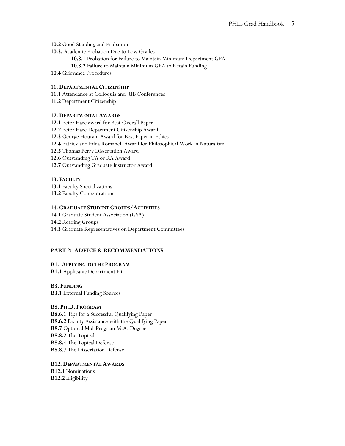**10.2** Good Standing and Probation

- **10.3.** Academic Probation Due to Low Grades
	- **10.3.1** Probation for Failure to Maintain Minimum Department GPA
	- **10.3.2** Failure to Maintain Minimum GPA to Retain Funding

**10.4** Grievance Procedures

#### **11. DEPARTMENTAL CITIZENSHIP**

**11.1** Attendance at Colloquia and UB Conferences

**11.2** Department Citizenship

#### **12. DEPARTMENTAL AWARDS**

**12.1** Peter Hare award for Best Overall Paper **12.2** Peter Hare Department Citizenship Award **12.3** George Hourani Award for Best Paper in Ethics **12.4** Patrick and Edna Romanell Award for Philosophical Work in Naturalism **12.5** Thomas Perry Dissertation Award **12.6** Outstanding TA or RA Award **12.7** Outstanding Graduate Instructor Award

# **13. FACULTY**

**13.1** Faculty Specializations

**13.2** Faculty Concentrations

#### **14. GRADUATE STUDENT GROUPS/ACTIVITIES**

- **14.1** Graduate Student Association (GSA)
- **14.2** Reading Groups
- **14.3** Graduate Representatives on Department Committees

#### **PART 2: ADVICE & RECOMMENDATIONS**

# **B1. APPLYING TO THE PROGRAM**

**B1.1** Applicant/Department Fit

# **B3. FUNDING**

**B3.1** External Funding Sources

# **B8. PH.D. PROGRAM**

**B8.6.1** Tips for a Successful Qualifying Paper **B8.6.2** Faculty Assistance with the Qualifying Paper **B8.7** Optional Mid-Program M.A. Degree **B8.8.2** The Topical **B8.8.4** The Topical Defense **B8.8.7** The Dissertation Defense

**B12. DEPARTMENTAL AWARDS B12.1** Nominations **B12.2** Eligibility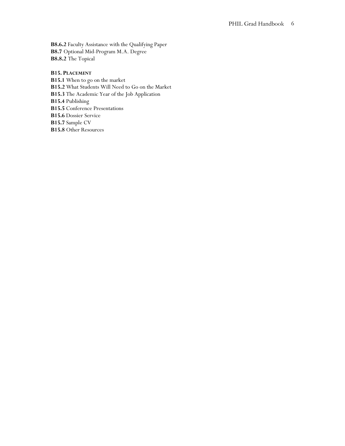**B8.6.2** Faculty Assistance with the Qualifying Paper **B8.7** Optional Mid-Program M.A. Degree **B8.8.2** The Topical

# **B15. PLACEMENT**

**B15.1** When to go on the market **B15.2** What Students Will Need to Go on the Market **B15.3** The Academic Year of the Job Application **B15.4** Publishing **B15.5** Conference Presentations **B15.6** Dossier Service **B15.7** Sample CV **B15.8** Other Resources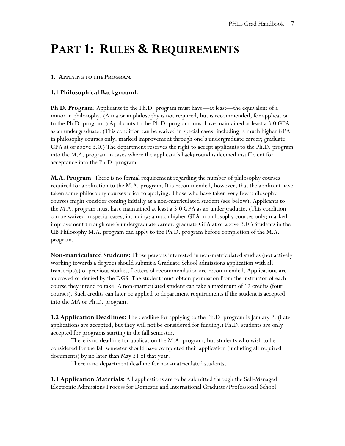# **PART 1: RULES & REQUIREMENTS**

#### **1. APPLYING TO THE PROGRAM**

# **1.1 Philosophical Background:**

**Ph.D. Program**: Applicants to the Ph.D. program must have—at least—the equivalent of a minor in philosophy. (A major in philosophy is not required, but is recommended, for application to the Ph.D. program.) Applicants to the Ph.D. program must have maintained at least a 3.0 GPA as an undergraduate. (This condition can be waived in special cases, including: a much higher GPA in philosophy courses only; marked improvement through one's undergraduate career; graduate GPA at or above 3.0.) The department reserves the right to accept applicants to the Ph.D. program into the M.A. program in cases where the applicant's background is deemed insufficient for acceptance into the Ph.D. program.

**M.A. Program**: There is no formal requirement regarding the number of philosophy courses required for application to the M.A. program. It is recommended, however, that the applicant have taken some philosophy courses prior to applying. Those who have taken very few philosophy courses might consider coming initially as a non-matriculated student (see below). Applicants to the M.A. program must have maintained at least a 3.0 GPA as an undergraduate. (This condition can be waived in special cases, including: a much higher GPA in philosophy courses only; marked improvement through one's undergraduate career; graduate GPA at or above 3.0.) Students in the UB Philosophy M.A. program can apply to the Ph.D. program before completion of the M.A. program.

**Non-matriculated Students:** Those persons interested in non-matriculated studies (not actively working towards a degree) should submit a Graduate School admissions application with all transcript(s) of previous studies. Letters of recommendation are recommended. Applications are approved or denied by the DGS. The student must obtain permission from the instructor of each course they intend to take. A non-matriculated student can take a maximum of 12 credits (four courses). Such credits can later be applied to department requirements if the student is accepted into the MA or Ph.D. program.

**1.2 Application Deadlines:** The deadline for applying to the Ph.D. program is January 2. (Late applications are accepted, but they will not be considered for funding.) Ph.D. students are only accepted for programs starting in the fall semester.

There is no deadline for application the M.A. program, but students who wish to be considered for the fall semester should have completed their application (including all required documents) by no later than May 31 of that year.

There is no department deadline for non-matriculated students.

**1.3 Application Materials:** All applications are to be submitted through the Self-Managed Electronic Admissions Process for Domestic and International Graduate/Professional School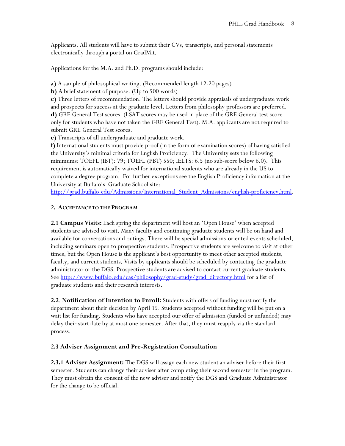Applicants. All students will have to submit their CVs, transcripts, and personal statements electronically through a portal on GradMit.

Applications for the M.A. and Ph.D. programs should include:

**a)** A sample of philosophical writing. (Recommended length 12-20 pages)

**b)** A brief statement of purpose. (Up to 500 words)

**c)** Three letters of recommendation. The letters should provide appraisals of undergraduate work and prospects for success at the graduate level. Letters from philosophy professors are preferred. **d)** GRE General Test scores. (LSAT scores may be used in place of the GRE General test score only for students who have not taken the GRE General Test). M.A. applicants are not required to submit GRE General Test scores.

**e)** Transcripts of all undergraduate and graduate work.

**f)** International students must provide proof (in the form of examination scores) of having satisfied the University's minimal criteria for English Proficiency. The University sets the following minimums: TOEFL (IBT): 79; TOEFL (PBT) 550; IELTS: 6.5 (no sub-score below 6.0). This requirement is automatically waived for international students who are already in the US to complete a degree program. For further exceptions see the English Proficiency information at the University at Buffalo's Graduate School site:

http://grad.buffalo.edu/Admissions/International Student Admissions/english-proficiency.html.

# **2. ACCEPTANCE TO THE PROGRAM**

**2.1 Campus Visits:** Each spring the department will host an 'Open House' when accepted students are advised to visit. Many faculty and continuing graduate students will be on hand and available for conversations and outings. There will be special admissions-oriented events scheduled, including seminars open to prospective students. Prospective students are welcome to visit at other times, but the Open House is the applicant's best opportunity to meet other accepted students, faculty, and current students. Visits by applicants should be scheduled by contacting the graduate administrator or the DGS. Prospective students are advised to contact current graduate students. See [http://www.buffalo.edu/cas/philosophy/grad-study/grad\\_directory.html](http://www.buffalo.edu/cas/philosophy/grad-study/grad_directory.html) for a list of graduate students and their research interests.

**2.2**. **Notification of Intention to Enroll:** Students with offers of funding must notify the department about their decision by April 15. Students accepted without funding will be put on a wait list for funding. Students who have accepted our offer of admission (funded or unfunded) may delay their start date by at most one semester. After that, they must reapply via the standard process.

# **2.3 Adviser Assignment and Pre-Registration Consultation**

**2.3.1 Adviser Assignment:** The DGS will assign each new student an adviser before their first semester. Students can change their adviser after completing their second semester in the program. They must obtain the consent of the new adviser and notify the DGS and Graduate Administrator for the change to be official.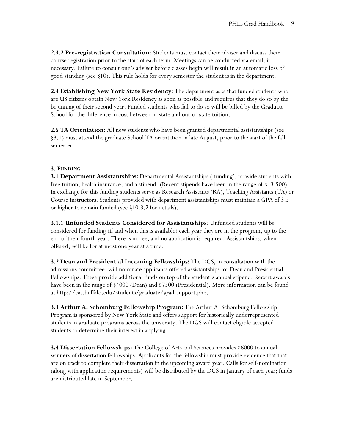**2.3.2 Pre-registration Consultation**: Students must contact their adviser and discuss their course registration prior to the start of each term. Meetings can be conducted via email, if necessary. Failure to consult one's adviser before classes begin will result in an automatic loss of good standing (see §10). This rule holds for every semester the student is in the department.

**2.4 Establishing New York State Residency:** The department asks that funded students who are US citizens obtain New York Residency as soon as possible and requires that they do so by the beginning of their second year. Funded students who fail to do so will be billed by the Graduate School for the difference in cost between in-state and out-of-state tuition.

**2.5 TA Orientation:** All new students who have been granted departmental assistantships (see §3.1) must attend the graduate School TA orientation in late August, prior to the start of the fall semester.

# **3**. **FUNDING**

**3.1 Department Assistantships:** Departmental Assistantships ('funding') provide students with free tuition, health insurance, and a stipend. (Recent stipends have been in the range of \$13,500). In exchange for this funding students serve as Research Assistants (RA), Teaching Assistants (TA) or Course Instructors. Students provided with department assistantships must maintain a GPA of 3.5 or higher to remain funded (see §10.3.2 for details).

**3.1.1 Unfunded Students Considered for Assistantships**: Unfunded students will be considered for funding (if and when this is available) each year they are in the program, up to the end of their fourth year. There is no fee, and no application is required. Assistantships, when offered, will be for at most one year at a time.

**3.2 Dean and Presidential Incoming Fellowships:** The DGS, in consultation with the admissions committee, will nominate applicants offered assistantships for Dean and Presidential Fellowships. These provide additional funds on top of the student's annual stipend. Recent awards have been in the range of \$4000 (Dean) and \$7500 (Presidential). More information can be found at http://cas.buffalo.edu/students/graduate/grad-support.php.

**3.3 Arthur A. Schomburg Fellowship Program:** The Arthur A. Schomburg Fellowship Program is sponsored by New York State and offers support for historically underrepresented students in graduate programs across the university. The DGS will contact eligible accepted students to determine their interest in applying.

**3.4 Dissertation Fellowships:** The College of Arts and Sciences provides \$6000 to annual winners of dissertation fellowships. Applicants for the fellowship must provide evidence that that are on track to complete their dissertation in the upcoming award year. Calls for self-nomination (along with application requirements) will be distributed by the DGS in January of each year; funds are distributed late in September.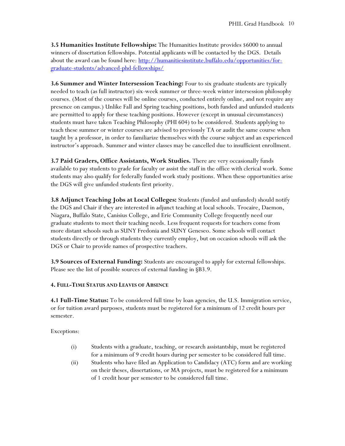**3.5 Humanities Institute Fellowships:** The Humanities Institute provides \$6000 to annual winners of dissertation fellowships. Potential applicants will be contacted by the DGS. Details about the award can be found here[: http://humanitiesinstitute.buffalo.edu/opportunities/for](http://humanitiesinstitute.buffalo.edu/opportunities/for-graduate-students/advanced-phd-fellowships/)[graduate-students/advanced-phd-fellowships/](http://humanitiesinstitute.buffalo.edu/opportunities/for-graduate-students/advanced-phd-fellowships/)

**3.6 Summer and Winter Intersession Teaching:** Four to six graduate students are typically needed to teach (as full instructor) six-week summer or three-week winter intersession philosophy courses. (Most of the courses will be online courses, conducted entirely online, and not require any presence on campus.) Unlike Fall and Spring teaching positions, both funded and unfunded students are permitted to apply for these teaching positions. However (except in unusual circumstances) students must have taken Teaching Philosophy (PHI 604) to be considered. Students applying to teach these summer or winter courses are advised to previously TA or audit the same course when taught by a professor, in order to familiarize themselves with the course subject and an experienced instructor's approach. Summer and winter classes may be cancelled due to insufficient enrollment.

**3.7 Paid Graders, Office Assistants, Work Studies.** There are very occasionally funds available to pay students to grade for faculty or assist the staff in the office with clerical work. Some students may also qualify for federally funded work study positions. When these opportunities arise the DGS will give unfunded students first priority.

**3.8 Adjunct Teaching Jobs at Local Colleges:** Students (funded and unfunded) should notify the DGS and Chair if they are interested in adjunct teaching at local schools. Trocaire, Daemon, Niagara, Buffalo State, Canisius College, and Erie Community College frequently need our graduate students to meet their teaching needs. Less frequent requests for teachers come from more distant schools such as SUNY Fredonia and SUNY Geneseo. Some schools will contact students directly or through students they currently employ, but on occasion schools will ask the DGS or Chair to provide names of prospective teachers.

**3.9 Sources of External Funding:** Students are encouraged to apply for external fellowships. Please see the list of possible sources of external funding in §B3.9.

# **4. FULL-TIME STATUS AND LEAVES OF ABSENCE**

**4.1 Full-Time Status:** To be considered full time by loan agencies, the U.S. Immigration service, or for tuition award purposes, students must be registered for a minimum of 12 credit hours per semester.

Exceptions:

- (i) Students with a graduate, teaching, or research assistantship, must be registered for a minimum of 9 credit hours during per semester to be considered full time.
- (ii) Students who have filed an Application to Candidacy (ATC) form and are working on their theses, dissertations, or MA projects, must be registered for a minimum of 1 credit hour per semester to be considered full time.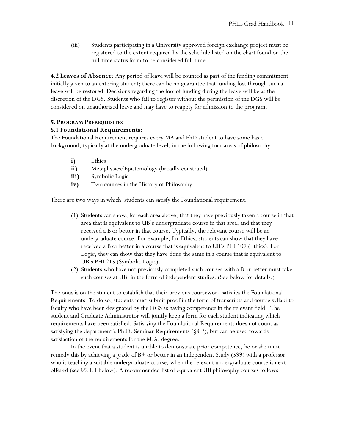(iii) Students participating in a University approved foreign exchange project must be registered to the extent required by the schedule listed on the chart found on the full-time status form to be considered full time.

**4.2 Leaves of Absence**: Any period of leave will be counted as part of the funding commitment initially given to an entering student; there can be no guarantee that funding lost through such a leave will be restored. Decisions regarding the loss of funding during the leave will be at the discretion of the DGS. Students who fail to register without the permission of the DGS will be considered on unauthorized leave and may have to reapply for admission to the program.

# **5. PROGRAM PREREQUISITES**

# **5.1 Foundational Requirements:**

The Foundational Requirement requires every MA and PhD student to have some basic background, typically at the undergraduate level, in the following four areas of philosophy.

- **i)** Ethics
- **ii)** Metaphysics/Epistemology (broadly construed)
- **iii)** Symbolic Logic
- **iv)** Two courses in the History of Philosophy

There are two ways in which students can satisfy the Foundational requirement.

- (1) Students can show, for each area above, that they have previously taken a course in that area that is equivalent to UB's undergraduate course in that area, and that they received a B or better in that course. Typically, the relevant course will be an undergraduate course. For example, for Ethics, students can show that they have received a B or better in a course that is equivalent to UB's PHI 107 (Ethics). For Logic, they can show that they have done the same in a course that is equivalent to UB's PHI 215 (Symbolic Logic).
- (2) Students who have not previously completed such courses with a B or better must take such courses at UB, in the form of independent studies. (See below for details.)

The onus is on the student to establish that their previous coursework satisfies the Foundational Requirements. To do so, students must submit proof in the form of transcripts and course syllabi to faculty who have been designated by the DGS as having competence in the relevant field. The student and Graduate Administrator will jointly keep a form for each student indicating which requirements have been satisfied. Satisfying the Foundational Requirements does not count as satisfying the department's Ph.D. Seminar Requirements (§8.2), but can be used towards satisfaction of the requirements for the M.A. degree.

In the event that a student is unable to demonstrate prior competence, he or she must remedy this by achieving a grade of B+ or better in an Independent Study (599) with a professor who is teaching a suitable undergraduate course, when the relevant undergraduate course is next offered (see §5.1.1 below). A recommended list of equivalent UB philosophy courses follows.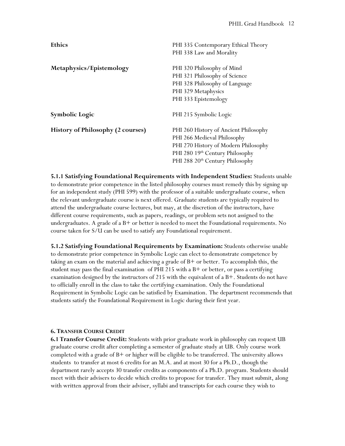| <b>Ethics</b>                            | PHI 335 Contemporary Ethical Theory         |
|------------------------------------------|---------------------------------------------|
|                                          | PHI 338 Law and Morality                    |
| Metaphysics/Epistemology                 | PHI 320 Philosophy of Mind                  |
|                                          | PHI 321 Philosophy of Science               |
|                                          | PHI 328 Philosophy of Language              |
|                                          | PHI 329 Metaphysics                         |
|                                          | PHI 333 Epistemology                        |
| <b>Symbolic Logic</b>                    | PHI 215 Symbolic Logic                      |
| <b>History of Philosophy (2 courses)</b> | PHI 260 History of Ancient Philosophy       |
|                                          | PHI 266 Medieval Philosophy                 |
|                                          | PHI 270 History of Modern Philosophy        |
|                                          | PHI 280 19 <sup>th</sup> Century Philosophy |
|                                          | PHI 288 20 <sup>th</sup> Century Philosophy |

**5.1.1 Satisfying Foundational Requirements with Independent Studies:** Students unable to demonstrate prior competence in the listed philosophy courses must remedy this by signing up for an independent study (PHI 599) with the professor of a suitable undergraduate course, when the relevant undergraduate course is next offered. Graduate students are typically required to attend the undergraduate course lectures, but may, at the discretion of the instructors, have different course requirements, such as papers, readings, or problem sets not assigned to the undergraduates. A grade of a B+ or better is needed to meet the Foundational requirements. No course taken for S/U can be used to satisfy any Foundational requirement.

**5.1.2 Satisfying Foundational Requirements by Examination:** Students otherwise unable to demonstrate prior competence in Symbolic Logic can elect to demonstrate competence by taking an exam on the material and achieving a grade of B+ or better. To accomplish this, the student may pass the final examination of PHI 215 with a  $B+$  or better, or pass a certifying examination designed by the instructors of 215 with the equivalent of a B+. Students do not have to officially enroll in the class to take the certifying examination. Only the Foundational Requirement in Symbolic Logic can be satisfied by Examination. The department recommends that students satisfy the Foundational Requirement in Logic during their first year.

# **6. TRANSFER COURSE CREDIT**

**6.1 Transfer Course Credit:** Students with prior graduate work in philosophy can request UB graduate course credit after completing a semester of graduate study at UB. Only course work completed with a grade of B+ or higher will be eligible to be transferred. The university allows students to transfer at most 6 credits for an M.A. and at most 30 for a Ph.D., though the department rarely accepts 30 transfer credits as components of a Ph.D. program. Students should meet with their advisers to decide which credits to propose for transfer. They must submit, along with written approval from their adviser, syllabi and transcripts for each course they wish to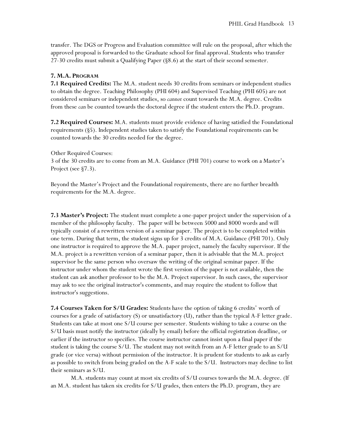transfer. The DGS or Progress and Evaluation committee will rule on the proposal, after which the approved proposal is forwarded to the Graduate school for final approval. Students who transfer 27-30 credits must submit a Qualifying Paper (§8.6) at the start of their second semester.

#### **7. M.A. PROGRAM**

**7.1 Required Credits:** The M.A. student needs 30 credits from seminars or independent studies to obtain the degree. Teaching Philosophy (PHI 604) and Supervised Teaching (PHI 605) are not considered seminars or independent studies, so *cannot* count towards the M.A. degree. Credits from these *can* be counted towards the doctoral degree if the student enters the Ph.D. program.

**7.2 Required Courses:** M.A. students must provide evidence of having satisfied the Foundational requirements (§5). Independent studies taken to satisfy the Foundational requirements can be counted towards the 30 credits needed for the degree.

Other Required Courses:

3 of the 30 credits are to come from an M.A. Guidance (PHI 701) course to work on a Master's Project (see §7.3).

Beyond the Master's Project and the Foundational requirements, there are no further breadth requirements for the M.A. degree.

**7.3 Master's Project:** The student must complete a one-paper project under the supervision of a member of the philosophy faculty. The paper will be between 5000 and 8000 words and will typically consist of a rewritten version of a seminar paper. The project is to be completed within one term. During that term, the student signs up for 3 credits of M.A. Guidance (PHI 701). Only one instructor is required to approve the M.A. paper project, namely the faculty supervisor. If the M.A. project is a rewritten version of a seminar paper, then it is advisable that the M.A. project supervisor be the same person who oversaw the writing of the original seminar paper. If the instructor under whom the student wrote the first version of the paper is not available, then the student can ask another professor to be the M.A. Project supervisor. In such cases, the supervisor may ask to see the original instructor's comments, and may require the student to follow that instructor's suggestions.

**7.4 Courses Taken for S/U Grades:** Students have the option of taking 6 credits' worth of courses for a grade of satisfactory (S) or unsatisfactory (U), rather than the typical A-F letter grade. Students can take at most one S/U course per semester. Students wishing to take a course on the S/U basis must notify the instructor (ideally by email) before the official registration deadline, or earlier if the instructor so specifies. The course instructor cannot insist upon a final paper if the student is taking the course S/U. The student may not switch from an A-F letter grade to an S/U grade (or vice versa) without permission of the instructor. It is prudent for students to ask as early as possible to switch from being graded on the A-F scale to the S/U. Instructors may decline to list their seminars as S/U.

M.A. students may count at most six credits of S/U courses towards the M.A. degree. (If an M.A. student has taken six credits for S/U grades, then enters the Ph.D. program, they are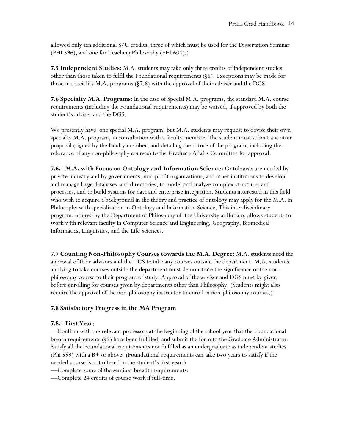allowed only ten additional S/U credits, three of which must be used for the Dissertation Seminar (PHI 596), and one for Teaching Philosophy (PHI 604).)

**7.5 Independent Studies:** M.A. students may take only three credits of independent studies other than those taken to fulfil the Foundational requirements (§5). Exceptions may be made for those in speciality M.A. programs (§7.6) with the approval of their adviser and the DGS.

**7.6 Specialty M.A. Programs:** In the case of Special M.A. programs, the standard M.A. course requirements (including the Foundational requirements) may be waived, if approved by both the student's adviser and the DGS.

We presently have one special M.A. program, but M.A. students may request to devise their own specialty M.A. program, in consultation with a faculty member. The student must submit a written proposal (signed by the faculty member, and detailing the nature of the program, including the relevance of any non-philosophy courses) to the Graduate Affairs Committee for approval.

**7.6.1 M.A. with Focus on Ontology and Information Science:** Ontologists are needed by private industry and by governments, non-profit organizations, and other institutions to develop and manage large databases and directories, to model and analyze complex structures and processes, and to build systems for data and enterprise integration. Students interested in this field who wish to acquire a background in the theory and practice of ontology may apply for the M.A. in Philosophy with specialization in Ontology and Information Science. This interdisciplinary program, offered by the Department of Philosophy of the University at Buffalo, allows students to work with relevant faculty in Computer Science and Engineering, Geography, Biomedical Informatics, Linguistics, and the Life Sciences.

**7.7 Counting Non-Philosophy Courses towards the M.A. Degree:** M.A. students need the approval of their advisors and the DGS to take any courses outside the department. M.A. students applying to take courses outside the department must demonstrate the significance of the nonphilosophy course to their program of study. Approval of the adviser and DGS must be given before enrolling for courses given by departments other than Philosophy. (Students might also require the approval of the non-philosophy instructor to enroll in non-philosophy courses.)

#### **7.8 Satisfactory Progress in the MA Program**

#### **7.8.1 First Year**:

—Confirm with the relevant professors at the beginning of the school year that the Foundational breath requirements (§5) have been fulfilled, and submit the form to the Graduate Administrator. Satisfy all the Foundational requirements not fulfilled as an undergraduate as independent studies (Phi 599) with a  $B+$  or above. (Foundational requirements can take two years to satisfy if the needed course is not offered in the student's first year.)

—Complete some of the seminar breadth requirements.

—Complete 24 credits of course work if full-time.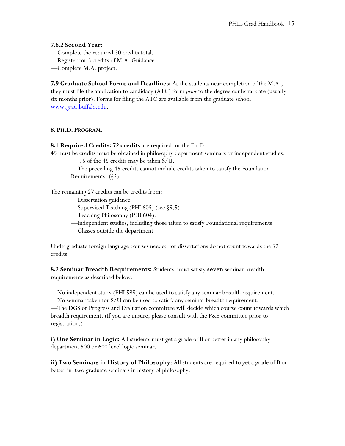# **7.8.2 Second Year:**

- —Complete the required 30 credits total.
- —Register for 3 credits of M.A. Guidance.
- —Complete M.A. project.

**7.9 Graduate School Forms and Deadlines:** As the students near completion of the M.A., they must file the application to candidacy (ATC) form *prior* to the degree conferral date (usually six months prior). Forms for filing the ATC are available from the graduate school [www.grad.buffalo.edu.](http://www.grad.buffalo.edu/)

# **8. PH.D. PROGRAM.**

# **8.1 Required Credits: 72 credits** are required for the Ph.D.

45 must be credits must be obtained in philosophy department seminars or independent studies.

— 15 of the 45 credits may be taken S/U.

—The preceding 45 credits cannot include credits taken to satisfy the Foundation Requirements. (§5).

The remaining 27 credits can be credits from:

- —Dissertation guidance
- —Supervised Teaching (PHI 605) (see §9.5)
- —Teaching Philosophy (PHI 604).
- —Independent studies, including those taken to satisfy Foundational requirements
- —Classes outside the department

Undergraduate foreign language courses needed for dissertations do not count towards the 72 credits.

**8.2 Seminar Breadth Requirements:** Students must satisfy **seven** seminar breadth requirements as described below.

—No independent study (PHI 599) can be used to satisfy any seminar breadth requirement.

—No seminar taken for S/U can be used to satisfy any seminar breadth requirement. —The DGS or Progress and Evaluation committee will decide which course count towards which

breadth requirement. (If you are unsure, please consult with the P&E committee prior to registration.)

**i) One Seminar in Logic:** All students must get a grade of B or better in any philosophy department 500 or 600 level logic seminar.

**ii) Two Seminars in History of Philosophy**: All students are required to get a grade of B or better in two graduate seminars in history of philosophy.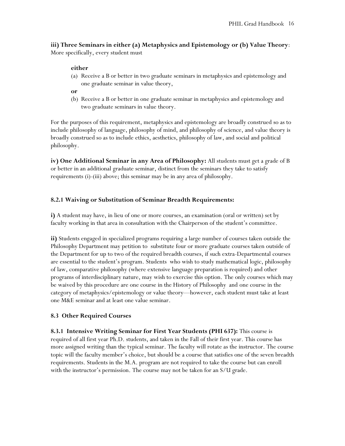**iii) Three Seminars in either (a) Metaphysics and Epistemology or (b) Value Theory**: More specifically, every student must

# **either**

- (a) Receive a B or better in two graduate seminars in metaphysics and epistemology and one graduate seminar in value theory,
- **or**
- (b) Receive a B or better in one graduate seminar in metaphysics and epistemology and two graduate seminars in value theory.

For the purposes of this requirement, metaphysics and epistemology are broadly construed so as to include philosophy of language, philosophy of mind, and philosophy of science, and value theory is broadly construed so as to include ethics, aesthetics, philosophy of law, and social and political philosophy.

**iv) One Additional Seminar in any Area of Philosophy:** All students must get a grade of B or better in an additional graduate seminar, distinct from the seminars they take to satisfy requirements (i)-(iii) above; this seminar may be in any area of philosophy.

# **8.2.1 Waiving or Substitution of Seminar Breadth Requirements:**

**i)** A student may have, in lieu of one or more courses, an examination (oral or written) set by faculty working in that area in consultation with the Chairperson of the student's committee.

**ii)** Students engaged in specialized programs requiring a large number of courses taken outside the Philosophy Department may petition to substitute four or more graduate courses taken outside of the Department for up to two of the required breadth courses, if such extra-Departmental courses are essential to the student's program. Students who wish to study mathematical logic, philosophy of law, comparative philosophy (where extensive language preparation is required) and other programs of interdisciplinary nature, may wish to exercise this option. The only courses which may be waived by this procedure are one course in the History of Philosophy and one course in the category of metaphysics/epistemology or value theory—however, each student must take at least one M&E seminar and at least one value seminar.

# **8.3 Other Required Courses**

**8.3.1 Intensive Writing Seminar for First Year Students (PHI 637):** This course is required of all first year Ph.D. students, and taken in the Fall of their first year. This course has more assigned writing than the typical seminar. The faculty will rotate as the instructor. The course topic will the faculty member's choice, but should be a course that satisfies one of the seven breadth requirements. Students in the M.A. program are not required to take the course but can enroll with the instructor's permission. The course may not be taken for an S/U grade.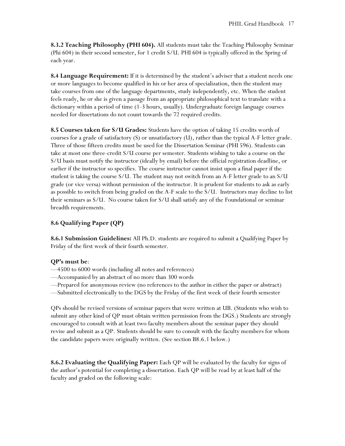**8.3.2 Teaching Philosophy (PHI 604).** All students must take the Teaching Philosophy Seminar (Phi 604) in their second semester, for 1 credit S/U. PHI 604 is typically offered in the Spring of each year.

**8.4 Language Requirement:** If it is determined by the student's adviser that a student needs one or more languages to become qualified in his or her area of specialization, then the student may take courses from one of the language departments, study independently, etc. When the student feels ready, he or she is given a passage from an appropriate philosophical text to translate with a dictionary within a period of time (1-3 hours, usually). Undergraduate foreign language courses needed for dissertations do not count towards the 72 required credits.

**8.5 Courses taken for S/U Grades:** Students have the option of taking 15 credits worth of courses for a grade of satisfactory (S) or unsatisfactory (U), rather than the typical A-F letter grade. Three of those fifteen credits must be used for the Dissertation Seminar (PHI 596). Students can take at most one three-credit S/U course per semester. Students wishing to take a course on the S/U basis must notify the instructor (ideally by email) before the official registration deadline, or earlier if the instructor so specifies. The course instructor cannot insist upon a final paper if the student is taking the course S/U. The student may not switch from an A-F letter grade to an S/U grade (or vice versa) without permission of the instructor. It is prudent for students to ask as early as possible to switch from being graded on the A-F scale to the S/U. Instructors may decline to list their seminars as S/U. No course taken for S/U shall satisfy any of the Foundational or seminar breadth requirements.

# **8.6 Qualifying Paper (QP)**

**8.6.1 Submission Guidelines:** All Ph.D. students are required to submit a Qualifying Paper by Friday of the first week of their fourth semester.

# **QP's must be**:

- —4500 to 6000 words (including all notes and references)
- —Accompanied by an abstract of no more than 300 words
- —Prepared for anonymous review (no references to the author in either the paper or abstract)
- —Submitted electronically to the DGS by the Friday of the first week of their fourth semester

QPs should be revised versions of seminar papers that were written at UB. (Students who wish to submit any other kind of QP must obtain written permission from the DGS.) Students are strongly encouraged to consult with at least two faculty members about the seminar paper they should revise and submit as a QP. Students should be sure to consult with the faculty members for whom the candidate papers were originally written. (See section B8.6.1 below.)

**8.6.2 Evaluating the Qualifying Paper:** Each QP will be evaluated by the faculty for signs of the author's potential for completing a dissertation. Each QP will be read by at least half of the faculty and graded on the following scale: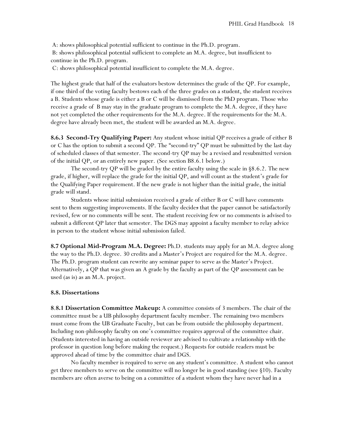A: shows philosophical potential sufficient to continue in the Ph.D. program. B: shows philosophical potential sufficient to complete an M.A. degree, but insufficient to continue in the Ph.D. program.

C: shows philosophical potential insufficient to complete the M.A. degree.

The highest grade that half of the evaluators bestow determines the grade of the QP. For example, if one third of the voting faculty bestows each of the three grades on a student, the student receives a B. Students whose grade is either a B or C will be dismissed from the PhD program. Those who receive a grade of B may stay in the graduate program to complete the M.A. degree, if they have not yet completed the other requirements for the M.A. degree. If the requirements for the M.A. degree have already been met, the student will be awarded an M.A. degree.

**8.6.3 Second-Try Qualifying Paper:** Any student whose initial QP receives a grade of either B or C has the option to submit a second QP. The "second-try" QP must be submitted by the last day of scheduled classes of that semester. The second-try QP may be a revised and resubmitted version of the initial QP, or an entirely new paper. (See section B8.6.1 below.)

The second-try QP will be graded by the entire faculty using the scale in §8.6.2. The new grade, if higher, will replace the grade for the initial QP, and will count as the student's grade for the Qualifying Paper requirement. If the new grade is not higher than the initial grade, the initial grade will stand.

Students whose initial submission received a grade of either B or C will have comments sent to them suggesting improvements. If the faculty decides that the paper cannot be satisfactorily revised, few or no comments will be sent. The student receiving few or no comments is advised to submit a different QP later that semester. The DGS may appoint a faculty member to relay advice in person to the student whose initial submission failed.

**8.7 Optional Mid-Program M.A. Degree:** Ph.D. students may apply for an M.A. degree along the way to the Ph.D. degree. 30 credits and a Master's Project are required for the M.A. degree. The Ph.D. program student can rewrite any seminar paper to serve as the Master's Project. Alternatively, a QP that was given an A grade by the faculty as part of the QP assessment can be used (as is) as an M.A. project.

#### **8.8. Dissertations**

**8**.**8.1 Dissertation Committee Makeup:** A committee consists of 3 members. The chair of the committee must be a UB philosophy department faculty member. The remaining two members must come from the UB Graduate Faculty, but can be from outside the philosophy department. Including non-philosophy faculty on one's committee requires approval of the committee chair. (Students interested in having an outside reviewer are advised to cultivate a relationship with the professor in question long before making the request.) Requests for outside readers must be approved ahead of time by the committee chair and DGS.

No faculty member is required to serve on any student's committee. A student who cannot get three members to serve on the committee will no longer be in good standing (see §10). Faculty members are often averse to being on a committee of a student whom they have never had in a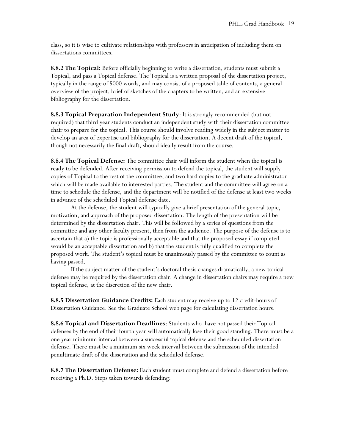class, so it is wise to cultivate relationships with professors in anticipation of including them on dissertations committees.

**8.8.2 The Topical:** Before officially beginning to write a dissertation, students must submit a Topical, and pass a Topical defense. The Topical is a written proposal of the dissertation project, typically in the range of 5000 words, and may consist of a proposed table of contents, a general overview of the project, brief of sketches of the chapters to be written, and an extensive bibliography for the dissertation.

**8.8.3 Topical Preparation Independent Study**: It is strongly recommended (but not required) that third year students conduct an independent study with their dissertation committee chair to prepare for the topical. This course should involve reading widely in the subject matter to develop an area of expertise and bibliography for the dissertation. A decent draft of the topical, though not necessarily the final draft, should ideally result from the course.

**8.8.4 The Topical Defense:** The committee chair will inform the student when the topical is ready to be defended. After receiving permission to defend the topical, the student will supply copies of Topical to the rest of the committee, and two hard copies to the graduate administrator which will be made available to interested parties. The student and the committee will agree on a time to schedule the defense, and the department will be notified of the defense at least two weeks in advance of the scheduled Topical defense date.

At the defense, the student will typically give a brief presentation of the general topic, motivation, and approach of the proposed dissertation. The length of the presentation will be determined by the dissertation chair. This will be followed by a series of questions from the committee and any other faculty present, then from the audience. The purpose of the defense is to ascertain that a) the topic is professionally acceptable and that the proposed essay if completed would be an acceptable dissertation and b) that the student is fully qualified to complete the proposed work. The student's topical must be unanimously passed by the committee to count as having passed.

If the subject matter of the student's doctoral thesis changes dramatically, a new topical defense may be required by the dissertation chair. A change in dissertation chairs may require a new topical defense, at the discretion of the new chair.

**8.8.5 Dissertation Guidance Credits:** Each student may receive up to 12 credit-hours of Dissertation Guidance. See the Graduate School web page for calculating dissertation hours.

**8.8.6 Topical and Dissertation Deadlines**: Students who have not passed their Topical defenses by the end of their fourth year will automatically lose their good standing. There must be a one year minimum interval between a successful topical defense and the scheduled dissertation defense. There must be a minimum six week interval between the submission of the intended penultimate draft of the dissertation and the scheduled defense.

**8.8.7 The Dissertation Defense:** Each student must complete and defend a dissertation before receiving a Ph.D. Steps taken towards defending: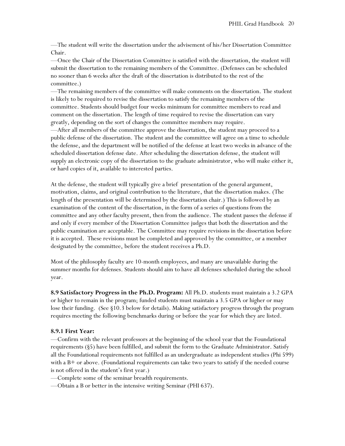—The student will write the dissertation under the advisement of his/her Dissertation Committee Chair.

—Once the Chair of the Dissertation Committee is satisfied with the dissertation, the student will submit the dissertation to the remaining members of the Committee. (Defenses can be scheduled no sooner than 6 weeks after the draft of the dissertation is distributed to the rest of the committee.)

—The remaining members of the committee will make comments on the dissertation. The student is likely to be required to revise the dissertation to satisfy the remaining members of the committee. Students should budget four weeks minimum for committee members to read and comment on the dissertation. The length of time required to revise the dissertation can vary greatly, depending on the sort of changes the committee members may require.

—After all members of the committee approve the dissertation, the student may proceed to a public defense of the dissertation. The student and the committee will agree on a time to schedule the defense, and the department will be notified of the defense at least two weeks in advance of the scheduled dissertation defense date. After scheduling the dissertation defense, the student will supply an electronic copy of the dissertation to the graduate administrator, who will make either it, or hard copies of it, available to interested parties.

At the defense, the student will typically give a brief presentation of the general argument, motivation, claims, and original contribution to the literature, that the dissertation makes. (The length of the presentation will be determined by the dissertation chair.) This is followed by an examination of the content of the dissertation, in the form of a series of questions from the committee and any other faculty present, then from the audience. The student passes the defense if and only if every member of the Dissertation Committee judges that both the dissertation and the public examination are acceptable. The Committee may require revisions in the dissertation before it is accepted. These revisions must be completed and approved by the committee, or a member designated by the committee, before the student receives a Ph.D.

Most of the philosophy faculty are 10-month employees, and many are unavailable during the summer months for defenses. Students should aim to have all defenses scheduled during the school year.

**8.9 Satisfactory Progress in the Ph.D. Program:** All Ph.D. students must maintain a 3.2 GPA or higher to remain in the program; funded students must maintain a 3.5 GPA or higher or may lose their funding. (See §10.3 below for details). Making satisfactory progress through the program requires meeting the following benchmarks during or before the year for which they are listed.

# **8.9.1 First Year:**

—Confirm with the relevant professors at the beginning of the school year that the Foundational requirements (§5) have been fulfilled, and submit the form to the Graduate Administrator. Satisfy all the Foundational requirements not fulfilled as an undergraduate as independent studies (Phi 599) with a  $B+$  or above. (Foundational requirements can take two years to satisfy if the needed course is not offered in the student's first year.)

—Complete some of the seminar breadth requirements.

—Obtain a B or better in the intensive writing Seminar (PHI 637).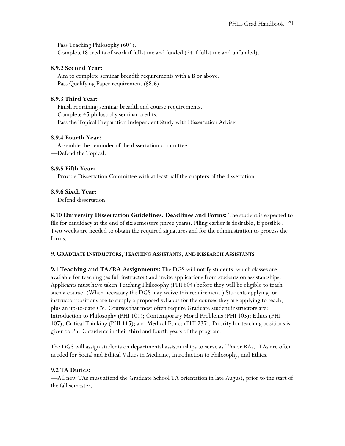—Pass Teaching Philosophy (604).

—Complete18 credits of work if full-time and funded (24 if full-time and unfunded).

# **8.9.2 Second Year:**

—Aim to complete seminar breadth requirements with a B or above.

—Pass Qualifying Paper requirement (§8.6).

# **8.9.3 Third Year:**

- —Finish remaining seminar breadth and course requirements.
- —Complete 45 philosophy seminar credits.
- —Pass the Topical Preparation Independent Study with Dissertation Adviser

# **8.9.4 Fourth Year:**

- —Assemble the reminder of the dissertation committee.
- —Defend the Topical.

# **8.9.5 Fifth Year:**

—Provide Dissertation Committee with at least half the chapters of the dissertation.

# **8.9.6 Sixth Year:**

—Defend dissertation.

**8.10 University Dissertation Guidelines, Deadlines and Forms:** The student is expected to file for candidacy at the end of six semesters (three years). Filing earlier is desirable, if possible. Two weeks are needed to obtain the required signatures and for the administration to process the forms.

# **9. GRADUATE INSTRUCTORS, TEACHING ASSISTANTS, AND RESEARCH ASSISTANTS**

**9.1 Teaching and TA/RA Assignments:** The DGS will notify students which classes are available for teaching (as full instructor) and invite applications from students on assistantships. Applicants must have taken Teaching Philosophy (PHI 604) before they will be eligible to teach such a course. (When necessary the DGS may waive this requirement.) Students applying for instructor positions are to supply a proposed syllabus for the courses they are applying to teach, plus an up-to-date CV. Courses that most often require Graduate student instructors are: Introduction to Philosophy (PHI 101); Contemporary Moral Problems (PHI 105); Ethics (PHI 107); Critical Thinking (PHI 115); and Medical Ethics (PHI 237). Priority for teaching positions is given to Ph.D. students in their third and fourth years of the program.

The DGS will assign students on departmental assistantships to serve as TAs or RAs. TAs are often needed for Social and Ethical Values in Medicine, Introduction to Philosophy, and Ethics.

# **9.2 TA Duties:**

—All new TAs must attend the Graduate School TA orientation in late August, prior to the start of the fall semester.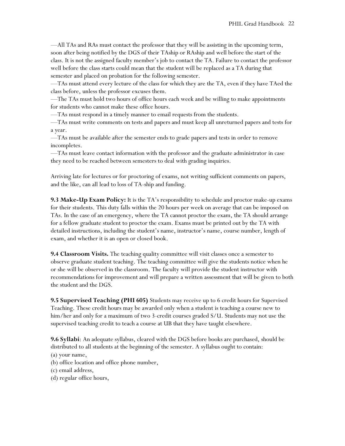—All TAs and RAs must contact the professor that they will be assisting in the upcoming term, soon after being notified by the DGS of their TAship or RAship and well before the start of the class. It is not the assigned faculty member's job to contact the TA. Failure to contact the professor well before the class starts could mean that the student will be replaced as a TA during that semester and placed on probation for the following semester.

—TAs must attend every lecture of the class for which they are the TA, even if they have TAed the class before, unless the professor excuses them.

—The TAs must hold two hours of office hours each week and be willing to make appointments for students who cannot make these office hours.

—TAs must respond in a timely manner to email requests from the students.

—TAs must write comments on tests and papers and must keep all unreturned papers and tests for a year.

—TAs must be available after the semester ends to grade papers and tests in order to remove incompletes.

—TAs must leave contact information with the professor and the graduate administrator in case they need to be reached between semesters to deal with grading inquiries.

Arriving late for lectures or for proctoring of exams, not writing sufficient comments on papers, and the like, can all lead to loss of TA-ship and funding.

**9.3 Make-Up Exam Policy:** It is the TA's responsibility to schedule and proctor make-up exams for their students. This duty falls within the 20 hours per week on average that can be imposed on TAs. In the case of an emergency, where the TA cannot proctor the exam, the TA should arrange for a fellow graduate student to proctor the exam. Exams must be printed out by the TA with detailed instructions, including the student's name, instructor's name, course number, length of exam, and whether it is an open or closed book.

**9.4 Classroom Visits.** The teaching quality committee will visit classes once a semester to observe graduate student teaching. The teaching committee will give the students notice when he or she will be observed in the classroom. The faculty will provide the student instructor with recommendations for improvement and will prepare a written assessment that will be given to both the student and the DGS.

**9.5 Supervised Teaching (PHI 605)** Students may receive up to 6 credit hours for Supervised Teaching. These credit hours may be awarded only when a student is teaching a course new to him/her and only for a maximum of two 3-credit courses graded S/U. Students may not use the supervised teaching credit to teach a course at UB that they have taught elsewhere.

**9.6 Syllabi**: An adequate syllabus, cleared with the DGS before books are purchased, should be distributed to all students at the beginning of the semester. A syllabus ought to contain:

(a) your name, (b) office location and office phone number,

(c) email address,

(d) regular office hours,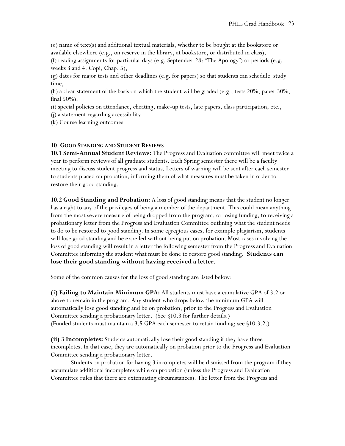(e) name of text(s) and additional textual materials, whether to be bought at the bookstore or available elsewhere (e.g., on reserve in the library, at bookstore, or distributed in class),

(f) reading assignments for particular days (e.g. September 28: "The Apology") or periods (e.g. weeks 3 and 4: Copi, Chap. 5),

(g) dates for major tests and other deadlines (e.g. for papers) so that students can schedule study time,

(h) a clear statement of the basis on which the student will be graded (e.g., tests  $20\%$ , paper  $30\%$ , final 50%),

(i) special policies on attendance, cheating, make-up tests, late papers, class participation, etc.,

(j) a statement regarding accessibility

(k) Course learning outcomes

#### **10**. **GOOD STANDING AND STUDENT REVIEWS**

**10.1 Semi-Annual Student Reviews:** The Progress and Evaluation committee will meet twice a year to perform reviews of all graduate students. Each Spring semester there will be a faculty meeting to discuss student progress and status. Letters of warning will be sent after each semester to students placed on probation, informing them of what measures must be taken in order to restore their good standing.

**10.2 Good Standing and Probation:** A loss of good standing means that the student no longer has a right to any of the privileges of being a member of the department. This could mean anything from the most severe measure of being dropped from the program, or losing funding, to receiving a probationary letter from the Progress and Evaluation Committee outlining what the student needs to do to be restored to good standing. In some egregious cases, for example plagiarism, students will lose good standing and be expelled without being put on probation. Most cases involving the loss of good standing will result in a letter the following semester from the Progress and Evaluation Committee informing the student what must be done to restore good standing. **Students can lose their good standing without having received a letter**.

Some of the common causes for the loss of good standing are listed below:

**(i) Failing to Maintain Minimum GPA:** All students must have a cumulative GPA of 3.2 or above to remain in the program. Any student who drops below the minimum GPA will automatically lose good standing and be on probation, prior to the Progress and Evaluation Committee sending a probationary letter. (See §10.3 for further details.) (Funded students must maintain a 3.5 GPA each semester to retain funding; see §10.3.2.)

**(ii) 3 Incompletes:** Students automatically lose their good standing if they have three incompletes. In that case, they are automatically on probation prior to the Progress and Evaluation Committee sending a probationary letter.

Students on probation for having 3 incompletes will be dismissed from the program if they accumulate additional incompletes while on probation (unless the Progress and Evaluation Committee rules that there are extenuating circumstances). The letter from the Progress and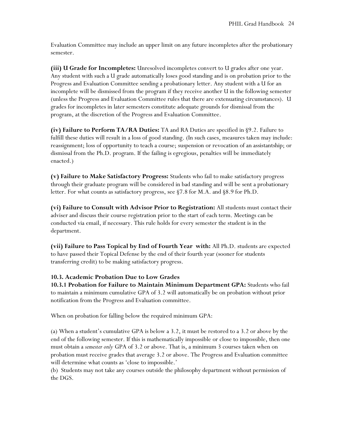Evaluation Committee may include an upper limit on any future incompletes after the probationary semester.

**(iii) U Grade for Incompletes:** Unresolved incompletes convert to U grades after one year. Any student with such a U grade automatically loses good standing and is on probation prior to the Progress and Evaluation Committee sending a probationary letter. Any student with a U for an incomplete will be dismissed from the program if they receive another U in the following semester (unless the Progress and Evaluation Committee rules that there are extenuating circumstances). U grades for incompletes in later semesters constitute adequate grounds for dismissal from the program, at the discretion of the Progress and Evaluation Committee.

**(iv) Failure to Perform TA/RA Duties:** TA and RA Duties are specified in §9.2. Failure to fulfill these duties will result in a loss of good standing. (In such cases, measures taken may include: reassignment; loss of opportunity to teach a course; suspension or revocation of an assistantship; or dismissal from the Ph.D. program. If the failing is egregious, penalties will be immediately enacted.)

**(v) Failure to Make Satisfactory Progress:** Students who fail to make satisfactory progress through their graduate program will be considered in bad standing and will be sent a probationary letter. For what counts as satisfactory progress, see §7.8 for M.A. and §8.9 for Ph.D.

**(vi) Failure to Consult with Advisor Prior to Registration:** All students must contact their adviser and discuss their course registration prior to the start of each term. Meetings can be conducted via email, if necessary. This rule holds for every semester the student is in the department.

**(vii) Failure to Pass Topical by End of Fourth Year with:** All Ph.D. students are expected to have passed their Topical Defense by the end of their fourth year (sooner for students transferring credit) to be making satisfactory progress.

# **10.3. Academic Probation Due to Low Grades**

**10.3.1 Probation for Failure to Maintain Minimum Department GPA:** Students who fail to maintain a minimum cumulative GPA of 3.2 will automatically be on probation without prior notification from the Progress and Evaluation committee.

When on probation for falling below the required minimum GPA:

(a) When a student's cumulative GPA is below a 3.2, it must be restored to a 3.2 or above by the end of the following semester. If this is mathematically impossible or close to impossible, then one must obtain a *semester only* GPA of 3.2 or above. That is, a minimum 3 courses taken when on probation must receive grades that average 3.2 or above. The Progress and Evaluation committee will determine what counts as 'close to impossible.'

(b) Students may not take any courses outside the philosophy department without permission of the DGS.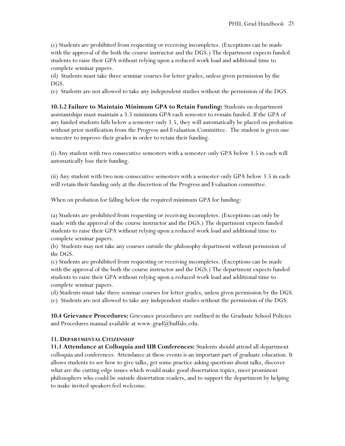(c) Students are prohibited from requesting or receiving incompletes. (Exceptions can be made with the approval of the both the course instructor and the DGS.) The department expects funded students to raise their GPA without relying upon a reduced work load and additional time to complete seminar papers.

(d) Students must take three seminar courses for letter grades, unless given permission by the DGS.

(e) Students are not allowed to take any independent studies without the permission of the DGS.

**10.3.2 Failure to Maintain Minimum GPA to Retain Funding:** Students on department assistantships must maintain a 3.5 minimum GPA each semester to remain funded. If the GPA of any funded students falls below a semester-only 3.5, they will automatically be placed on probation without prior notification from the Progress and Evaluation Committee. The student is given one semester to improve their grades in order to retain their funding.

(i) Any student with two consecutive semesters with a semester-only GPA below 3.5 in each will automatically lose their funding.

(ii) Any student with two non-consecutive semesters with a semester-only GPA below 3.5 in each will retain their funding only at the discretion of the Progress and Evaluation committee.

When on probation for falling below the required minimum GPA for funding:

(a) Students are prohibited from requesting or receiving incompletes. (Exceptions can only be made with the approval of the course instructor and the DGS.) The department expects funded students to raise their GPA without relying upon a reduced work load and additional time to complete seminar papers.

(b) Students may not take any courses outside the philosophy department without permission of the DGS.

(c) Students are prohibited from requesting or receiving incompletes. (Exceptions can be made with the approval of the both the course instructor and the DGS.) The department expects funded students to raise their GPA without relying upon a reduced work load and additional time to complete seminar papers.

(d) Students must take three seminar courses for letter grades, unless given permission by the DGS.

(e) Students are not allowed to take any independent studies without the permission of the DGS.

**10.4 Grievance Procedures:** Grievance procedures are outlined in the Graduate School Policies and Procedures manual available at www.grad $(\alpha)$ buffalo.edu.

# **11. DEPARTMENTAL CITIZENSHIP**

**11.1 Attendance at Colloquia and UB Conferences:** Students should attend all department colloquia and conferences. Attendance at these events is an important part of graduate education. It allows students to see how to give talks, get some practice asking questions about talks, discover what are the cutting edge issues which would make good dissertation topics, meet prominent philosophers who could be outside dissertation readers, and to support the department by helping to make invited speakers feel welcome.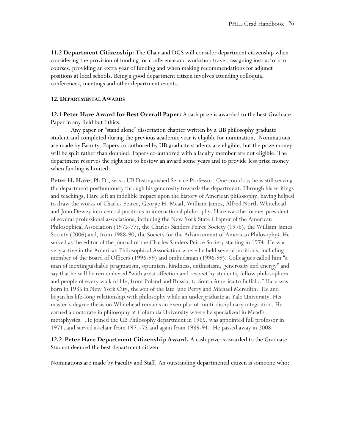**11.2 Department Citizenship**: The Chair and DGS will consider department citizenship when considering the provision of funding for conference and workshop travel, assigning instructors to courses, providing an extra year of funding and when making recommendations for adjunct positions at local schools. Being a good department citizen involves attending colloquia, conferences, meetings and other department events.

#### **12. DEPARTMENTAL AWARDS**

**12.1 Peter Hare Award for Best Overall Paper:** A cash prize is awarded to the best Graduate Paper in any field but Ethics.

Any paper or "stand alone" dissertation chapter written by a UB philosophy graduate student and completed during the previous academic year is eligible for nomination. Nominations are made by Faculty. Papers co-authored by UB graduate students are eligible, but the prize money will be split rather than doubled. Papers co-authored with a faculty member are not eligible. The department reserves the right not to bestow an award some years and to provide less prize money when funding is limited.

**Peter H. Hare**, Ph.D., was a UB Distinguished Service Professor. One could say he is still serving the department posthumously through his generosity towards the department. Through his writings and teachings, Hare left an indelible impact upon the history of American philosophy, having helped to draw the works of Charles Peirce, George H. Mead, William James, Alfred North Whitehead and John Dewey into central positions in international philosophy. Hare was the former president of several professional associations, including the New York State Chapter of the American Philosophical Association (1975-77), the Charles Sanders Peirce Society (1976), the William James Society (2006) and, from 1988-90, the Society for the Advancement of American Philosophy*).* He served as the editor of the journal of the Charles Sanders Peirce Society starting in 1974. He was very active in the American Philosophical Association where he held several positions, including member of the Board of Officers (1996-99) and ombudsman (1996-99). Colleagues called him "a man of inextinguishable pragmatism, optimism, kindness, enthusiasm, generosity and energy" and say that he will be remembered "with great affection and respect by students, fellow philosophers and people of every walk of life, from Poland and Russia, to South America to Buffalo." Hare was born in 1935 in New York City, the son of the late Jane Perry and Michael Meredith. He and began his life-long relationship with philosophy while an undergraduate at Yale University. His master's degree thesis on Whitehead remains an exemplar of multi-disciplinary integration. He earned a doctorate in philosophy at Columbia University where he specialized in Mead's metaphysics. He joined the UB Philosophy department in 1965, was appointed full professor in 1971, and served as chair from 1971-75 and again from 1985-94. He passed away in 2008.

**12.2 Peter Hare Department Citizenship Award.** A cash prize is awarded to the Graduate Student deemed the best department citizen.

Nominations are made by Faculty and Staff. An outstanding departmental citizen is someone who: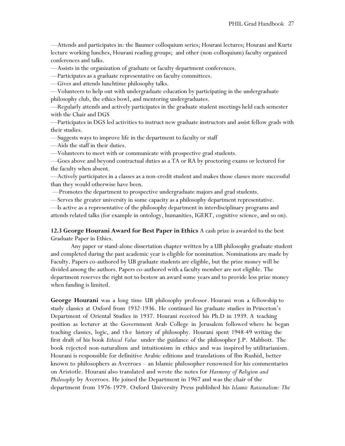—Attends and participates in: the Baumer colloquium series; Hourani lectures; Hourani and Kurtz lecture working lunches, Hourani reading groups; and other (non-colloquium) faculty organized conferences and talks.

—Assists in the organization of graduate or faculty department conferences.

—Participates as a graduate representative on faculty committees.

—Gives and attends lunchtime philosophy talks.

—Volunteers to help out with undergraduate education by participating in the undergraduate philosophy club, the ethics bowl, and mentoring undergraduates.

—Regularly attends and actively participates in the graduate student meetings held each semester with the Chair and DGS

—Participates in DGS led activities to instruct new graduate instructors and assist fellow grads with their studies.

—Suggests ways to improve life in the department to faculty or staff

—Aids the staff in their duties.

—Volunteers to meet with or communicate with prospective grad students.

—Goes above and beyond contractual duties as a TA or RA by proctoring exams or lectured for the faculty when absent.

—Actively participates in a classes as a non-credit student and makes those classes more successful than they would otherwise have been.

—Promotes the department to prospective undergraduate majors and grad students.

—Serves the greater university in some capacity as a philosophy department representative.

—Is active as a representative of the philosophy department in interdisciplinary programs and attends related talks (for example in ontology, humanities, IGERT, cognitive science, and so on).

**12.3 George Hourani Award for Best Paper in Ethics** A cash prize is awarded to the best Graduate Paper in Ethics.

Any paper or stand-alone dissertation chapter written by a UB philosophy graduate student and completed during the past academic year is eligible for nomination. Nominations are made by Faculty. Papers co-authored by UB graduate students are eligible, but the prize money will be divided among the authors. Papers co-authored with a faculty member are not eligible. The department reserves the right not to bestow an award some years and to provide less prize money when funding is limited.

**George Hourani** was a long time UB philosophy professor. Hourani won a fellowship to study classics at Oxford from 1932-1936. He continued his graduate studies in Princeton's Department of Oriental Studies in 1937. Hourani received his Ph.D in 1939. A teaching position as lecturer at the Government Arab College in Jerusalem followed where he began teaching classics, logic, and t h e history of philosophy. Hourani spent 1948-49 writing the first draft of his book *Ethical Value* under the guidance of the philosopher J.P. Mabbott*.* The book rejected non-naturalism and intuitionism in ethics and was inspired by utilitarianism. Hourani is responsible for definitive Arabic editions and translations of Ibn Rushid, better known to philosophers as Averroes – an Islamic philosopher renowned for his commentaries on Aristotle. Hourani also translated and wrote the notes for *Harmony of Religion and Philosophy* by Averroes. He joined the Department in 1967 and was the chair of the department from 1976-1979. Oxford University Press published his *Islamic Rationalism: The*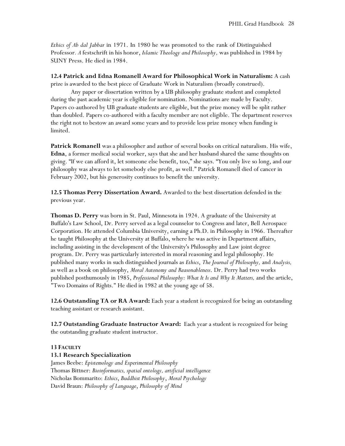*Ethics of Ab dal Jabbar* in 1971. In 1980 he was promoted to the rank of Distinguished Professor*. A* festschrift in his honor, *Islamic Theology and Philosophy,* was published in 1984 by SUNY Press. He died in 1984.

**12.4 Patrick and Edna Romanell Award for Philosophical Work in Naturalism:** A cash

prize is awarded to the best piece of Graduate Work in Naturalism (broadly construed). Any paper or dissertation written by a UB philosophy graduate student and completed

during the past academic year is eligible for nomination. Nominations are made by Faculty. Papers co-authored by UB graduate students are eligible, but the prize money will be split rather than doubled. Papers co-authored with a faculty member are not eligible. The department reserves the right not to bestow an award some years and to provide less prize money when funding is limited.

**Patrick Romanell** was a philosopher and author of several books on critical naturalism. His wife, **Edna**, a former medical social worker, says that she and her husband shared the same thoughts on giving. "If we can afford it, let someone else benefit, too," she says. "You only live so long, and our philosophy was always to let somebody else profit, as well." Patrick Romanell died of cancer in February 2002, but his generosity continues to benefit the university.

**12.5 Thomas Perry Dissertation Award.** Awarded to the best dissertation defended in the previous year.

**Thomas D. Perry** was born in St. Paul, Minnesota in 1924. A graduate of the University at Buffalo's Law School, Dr. Perry served as a legal counselor to Congress and later, Bell Aerospace Corporation. He attended Columbia University, earning a Ph.D. in Philosophy in 1966. Thereafter he taught Philosophy at the University at Buffalo, where he was active in Department affairs, including assisting in the development of the University's Philosophy and Law joint degree program. Dr. Perry was particularly interested in moral reasoning and legal philosophy. He published many works in such distinguished journals as *Ethics*, *The Journal of Philosophy,* and *Analysis,* as well as a book on philosophy, *Moral Autonomy and Reasonableness*. Dr. Perry had two works published posthumously in 1985, *Professional Philosophy: What It Is and Why It Matters,* and the article, "Two Domains of Rights." He died in 1982 at the young age of 58.

**12.6 Outstanding TA or RA Award:** Each year a student is recognized for being an outstanding teaching assistant or research assistant.

**12.7 Outstanding Graduate Instructor Award:** Each year a student is recognized for being the outstanding graduate student instructor.

# **13 FACULTY**

# **13.1 Research Specialization**

James Beebe: *Epistemology and Experimental Philosophy* Thomas Bittner: *Bioinformatics, spatial ontology, artificial intelligence* Nicholas Bommarito: *Ethics*, *Buddhist Philosophy*, *Moral Psychology* David Braun: *Philosophy of Language*, *Philosophy of Mind*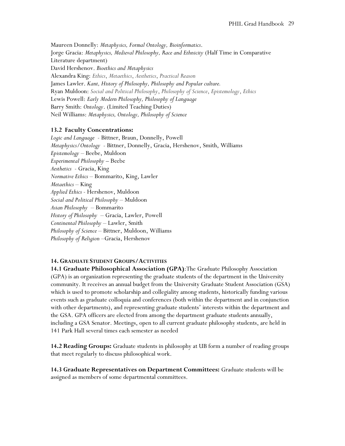Maureen Donnelly: *Metaphysics, Formal Ontology, Bioinformatics*. Jorge Gracia: *Metaphysics, Medieval Philosophy, Race and Ethnicity* (Half Time in Comparative Literature department) David Hershenov. *Bioethics and Metaphysics* Alexandra King: *Ethics*, *Metaethics*, *Aesthetics*, *Practical Reason* James Lawler. *Kant, History of Philosophy, Philosophy and Popular culture.* Ryan Muldoon: *Social and Political Philosophy*, *Philosophy of Science*, *Epistemology*, *Ethics* Lewis Powell: *Early Modern Philosophy, Philosophy of Language* Barry Smith: *Ontology*. (Limited Teaching Duties) Neil Williams: *Metaphysics, Ontology, Philosophy of Science*

# **13.2 Faculty Concentrations:**

*Logic and Language*- Bittner, Braun, Donnelly, Powell *Metaphysics/Ontology -* Bittner, Donnelly, Gracia, Hershenov, Smith, Williams *Epistemology* – Beebe, Muldoon *Experimental Philosophy* – Beebe *Aesthetics* - Gracia, King *Normative Ethics* – Bommarito, King, Lawler *Metaethics* – King *Applied Ethics* - Hershenov, Muldoon *Social and Political Philosophy* – Muldoon *Asian Philosophy* – Bommarito *History of Philosophy* – Gracia, Lawler, Powell *Continental Philosophy* – Lawler, Smith *Philosophy of Science* – Bittner, Muldoon, Williams *Philosophy of Religion* –Gracia, Hershenov

#### **14. GRADUATE STUDENT GROUPS/ACTIVITIES**

**14.1 Graduate Philosophical Association (GPA)**:The Graduate Philosophy Association (GPA) is an organization representing the graduate students of the department in the University community. It receives an annual budget from the University Graduate Student Association (GSA) which is used to promote scholarship and collegiality among students, historically funding various events such as graduate colloquia and conferences (both within the department and in conjunction with other departments), and representing graduate students' interests within the department and the GSA. GPA officers are elected from among the department graduate students annually, including a GSA Senator. Meetings, open to all current graduate philosophy students, are held in 141 Park Hall several times each semester as needed

**14.2 Reading Groups:** Graduate students in philosophy at UB form a number of reading groups that meet regularly to discuss philosophical work.

**14.3 Graduate Representatives on Department Committees:** Graduate students will be assigned as members of some departmental committees.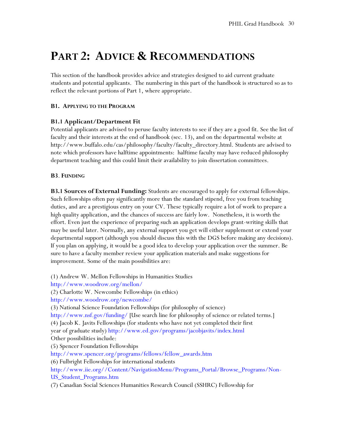# **PART 2: ADVICE & RECOMMENDATIONS**

This section of the handbook provides advice and strategies designed to aid current graduate students and potential applicants. The numbering in this part of the handbook is structured so as to reflect the relevant portions of Part 1, where appropriate.

# **B1. APPLYING TO THE PROGRAM**

# **B1.1 Applicant/Department Fit**

Potential applicants are advised to peruse faculty interests to see if they are a good fit. See the list of faculty and their interests at the end of handbook (sec. 13), and on the departmental website at http://www.buffalo.edu/cas/philosophy/faculty/faculty\_directory.html. Students are advised to note which professors have halftime appointments: halftime faculty may have reduced philosophy department teaching and this could limit their availability to join dissertation committees.

#### **B3**. **FUNDING**

**B3.1 Sources of External Funding:** Students are encouraged to apply for external fellowships. Such fellowships often pay significantly more than the standard stipend, free you from teaching duties, and are a prestigious entry on your CV. These typically require a lot of work to prepare a high quality application, and the chances of success are fairly low. Nonetheless, it is worth the effort. Even just the experience of preparing such an application develops grant-writing skills that may be useful later. Normally, any external support you get will either supplement or extend your departmental support (although you should discuss this with the DGS before making any decisions). If you plan on applying, it would be a good idea to develop your application over the summer. Be sure to have a faculty member review your application materials and make suggestions for improvement. Some of the main possibilities are:

(1) Andrew W. Mellon Fellowships in Humanities Studies http://www.woodrow.org/mellon/ (2) Charlotte W. Newcombe Fellowships (in ethics) http://www.woodrow.org/newcombe/ (3) National Science Foundation Fellowships (for philosophy of science) http://www.nsf.gov/funding/ [Use search line for philosophy of science or related terms.] (4) Jacob K. Javits Fellowships (for students who have not yet completed their first year of graduate study) http://www.ed.gov/programs/jacobjavits/index.html Other possibilities include: (5) Spencer Foundation Fellowships http://www.spencer.org/programs/fellows/fellow\_awards.htm (6) Fulbright Fellowships for international students http://www.iie.org//Content/NavigationMenu/Programs\_Portal/Browse\_Programs/Non-US\_Student\_Programs.htm (7) Canadian Social Sciences Humanities Research Council (SSHRC) Fellowship for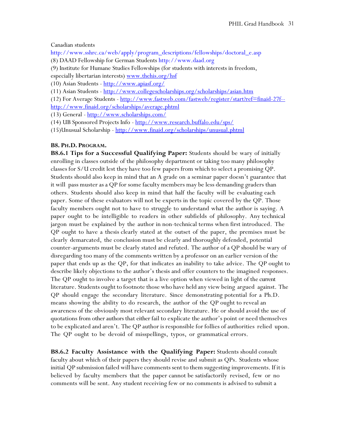Canadian students

http://www.sshrc.ca/web/apply/program\_descriptions/fellowships/doctoral\_e.asp (8) DAAD Fellowship for German Students http://www.daad.org

(9) Institute for Humane Studies Fellowships (for students with interests in freedom, especially libertarian interests) [www.thehis.org/hsf](http://www.thehis.org/hsf)

(10) Asian Students - <http://www.apiasf.org/>

(11) Asian Students - <http://www.collegescholarships.org/scholarships/asian.htm>

(12) For Average Students - [http://www.fastweb.com/fastweb/register/start?ref=finaid-27f-](http://www.fastweb.com/fastweb/register/start?ref=finaid-27f--http://www.finaid.org/scholarships/average.phtml) [http://www.finaid.org/scholarships/average.phtml](http://www.fastweb.com/fastweb/register/start?ref=finaid-27f--http://www.finaid.org/scholarships/average.phtml)

(13) General - <http://www.scholarships.com/>

(14) UB Sponsored Projects Info - <http://www.research.buffalo.edu/sps/>

(15)Unusual Scholarship - <http://www.finaid.org/scholarships/unusual.phtml>

#### **B8. PH.D. PROGRAM.**

**B8.6.1 Tips for a Successful Qualifying Paper:** Students should be wary of initially enrolling in classes outside of the philosophy department or taking too many philosophy classes for S/U credit lest they have too few papers from which to select a promising QP. Students should also keep in mind that an A grade on a seminar paper doesn't guarantee that it will pass muster as a QP for some faculty members may be less demanding graders than others. Students should also keep in mind that half the faculty will be evaluating each paper. Some of these evaluators will not be experts in the topic covered by the QP. Those faculty members ought not to have to struggle to understand what the author is saying. A paper ought to be intelligible to readers in other subfields of philosophy. Any technical jargon must be explained by the author in non-technical terms when first introduced. The QP ought to have a thesis clearly stated at the outset of the paper, the premises must be clearly demarcated, the conclusion must be clearly and thoroughly defended, potential counter-arguments must be clearly stated and refuted. The author of a QP should be wary of disregarding too many of the comments written by a professor on an earlier version of the paper that ends up as the QP, for that indicates an inability to take advice. The QP ought to describe likely objections to the author's thesis and offer counters to the imagined responses. The QP ought to involve a target that is a live option when viewed in light of the current literature. Students ought to footnote those who have held any view being argued against. The QP should engage the secondary literature. Since demonstrating potential for a Ph.D. means showing the ability to do research, the author of the QP ought to reveal an awareness of the obviously most relevant secondary literature. He or should avoid the use of quotations from other authors that either fail to explicate the author's point or need themselves to be explicated and aren't. The QP author is responsible for follies of authorities relied upon. The QP ought to be devoid of misspellings, typos, or grammatical errors.

**B8.6.2 Faculty Assistance with the Qualifying Paper:** Students should consult faculty about which of their papers they should revise and submit as QPs. Students whose initial QP submission failed will have comments sent to them suggesting improvements. If it is believed by faculty members that the paper cannot be satisfactorily revised, few or no comments will be sent. Any student receiving few or no comments is advised to submit a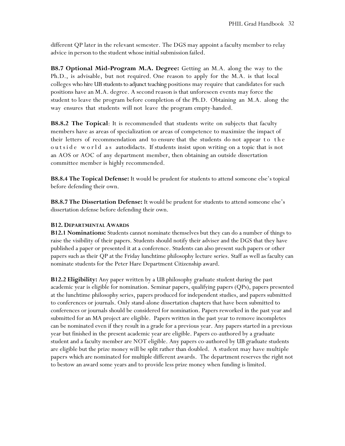different QP later in the relevant semester. The DGS may appoint a faculty member to relay advice in person to the student whose initial submission failed.

**B8.7 Optional Mid-Program M.A. Degree:** Getting an M.A. along the way to the Ph.D., is advisable, but not required. One reason to apply for the M.A. is that local colleges who hire UB students to adjunct teaching positions may require that candidates for such positions have an M.A. degree. A second reason is that unforeseen events may force the student to leave the program before completion of the Ph.D. Obtaining an M.A. along the way ensures that students will not leave the program empty-handed.

**B8.8.2 The Topical**: It is recommended that students write on subjects that faculty members have as areas of specialization or areas of competence to maximize the impact of their letters of recommendation and to ensure that the students do not appear to the outside world as autodidacts. If students insist upon writing on a topic that is not an AOS or AOC of any department member, then obtaining an outside dissertation committee member is highly recommended.

**B8.8.4 The Topical Defense:** It would be prudent for students to attend someone else's topical before defending their own.

**B8.8.7 The Dissertation Defense:** It would be prudent for students to attend someone else's dissertation defense before defending their own.

# **B12. DEPARTMENTAL AWARDS**

**B12.1 Nominations:** Students cannot nominate themselves but they can do a number of things to raise the visibility of their papers. Students should notify their adviser and the DGS that they have published a paper or presented it at a conference. Students can also present such papers or other papers such as their QP at the Friday lunchtime philosophy lecture series. Staff as well as faculty can nominate students for the Peter Hare Department Citizenship award.

**B12.2 Eligibility:** Any paper written by a UB philosophy graduate student during the past academic year is eligible for nomination. Seminar papers, qualifying papers (QPs), papers presented at the lunchtime philosophy series, papers produced for independent studies, and papers submitted to conferences or journals. Only stand-alone dissertation chapters that have been submitted to conferences or journals should be considered for nomination. Papers reworked in the past year and submitted for an MA project are eligible. Papers written in the past year to remove incompletes can be nominated even if they result in a grade for a previous year. Any papers started in a previous year but finished in the present academic year are eligible. Papers co-authored by a graduate student and a faculty member are NOT eligible. Any papers co-authored by UB graduate students are eligible but the prize money will be split rather than doubled. A student may have multiple papers which are nominated for multiple different awards. The department reserves the right not to bestow an award some years and to provide less prize money when funding is limited.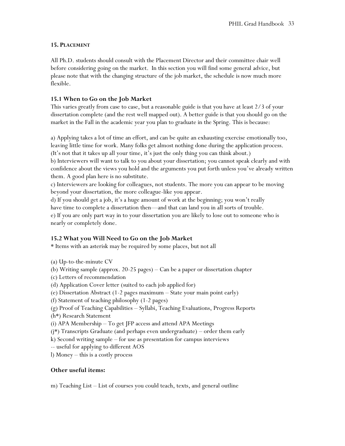# **15. PLACEMENT**

All Ph.D. students should consult with the Placement Director and their committee chair well before considering going on the market. In this section you will find some general advice, but please note that with the changing structure of the job market, the schedule is now much more flexible.

# **15.1 When to Go on the Job Market**

This varies greatly from case to case, but a reasonable guide is that you have at least 2/3 of your dissertation complete (and the rest well mapped out). A better guide is that you should go on the market in the Fall in the academic year you plan to graduate in the Spring. This is because:

a) Applying takes a lot of time an effort, and can be quite an exhausting exercise emotionally too, leaving little time for work. Many folks get almost nothing done during the application process. (It's not that it takes up all your time, it's just the only thing you can think about.)

b) Interviewers will want to talk to you about your dissertation; you cannot speak clearly and with confidence about the views you hold and the arguments you put forth unless you've already written them. A good plan here is no substitute.

c) Interviewers are looking for colleagues, not students. The more you can appear to be moving beyond your dissertation, the more colleague-like you appear.

d) If you should get a job, it's a huge amount of work at the beginning; you won't really

have time to complete a dissertation then—and that can land you in all sorts of trouble.

e) If you are only part way in to your dissertation you are likely to lose out to someone who is nearly or completely done.

# **15.2 What you Will Need to Go on the Job Market**

\* Items with an asterisk may be required by some places, but not all

- (a) Up-to-the-minute CV
- (b) Writing sample (approx. 20-25 pages) Can be a paper or dissertation chapter
- (c) Letters of recommendation
- (d) Application Cover letter (suited to each job applied for)
- (e) Dissertation Abstract (1-2 pages maximum State your main point early)
- (f) Statement of teaching philosophy (1-2 pages)
- (g) Proof of Teaching Capabilities Syllabi, Teaching Evaluations, Progress Reports
- (h\*) Research Statement
- (i) APA Membership To get JFP access and attend APA Meetings
- (j\*) Transcripts Graduate (and perhaps even undergraduate) order them early
- k) Second writing sample for use as presentation for campus interviews
- -- useful for applying to different AOS
- l) Money this is a costly process

# **Other useful items:**

m) Teaching List – List of courses you could teach, texts, and general outline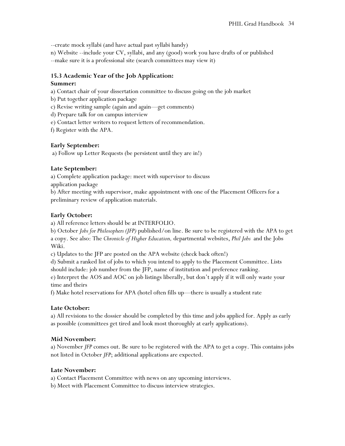--create mock syllabi (and have actual past syllabi handy)

n) Website --include your CV, syllabi, and any (good) work you have drafts of or published --make sure it is a professional site (search committees may view it)

# **15.3 Academic Year of the Job Application:**

# **Summer:**

a) Contact chair of your dissertation committee to discuss going on the job market

- b) Put together application package
- c) Revise writing sample (again and again—get comments)

d) Prepare talk for on campus interview

e) Contact letter writers to request letters of recommendation.

f) Register with the APA.

# **Early September:**

a) Follow up Letter Requests (be persistent until they are in!)

# **Late September:**

a) Complete application package: meet with supervisor to discuss

application package

b) After meeting with supervisor, make appointment with one of the Placement Officers for a preliminary review of application materials.

# **Early October:**

a) All reference letters should be at INTERFOLIO.

b) October *Jobs for Philosophers (JFP)* published/on line. Be sure to be registered with the APA to get a copy. See also: The *Chronicle of Higher Education,* departmental websites, *Phil Jobs* and the Jobs Wiki.

c) Updates to the JFP are posted on the APA website (check back often!)

d) Submit a ranked list of jobs to which you intend to apply to the Placement Committee. Lists should include: job number from the JFP, name of institution and preference ranking.

e) Interpret the AOS and AOC on job listings liberally, but don't apply if it will only waste your time and theirs

f) Make hotel reservations for APA (hotel often fills up—there is usually a student rate

# **Late October:**

a) All revisions to the dossier should be completed by this time and jobs applied for. Apply as early as possible (committees get tired and look most thoroughly at early applications).

# **Mid November:**

a) November *JFP* comes out. Be sure to be registered with the APA to get a copy. This contains jobs not listed in October *JFP*; additional applications are expected.

# **Late November:**

a) Contact Placement Committee with news on any upcoming interviews.

b) Meet with Placement Committee to discuss interview strategies.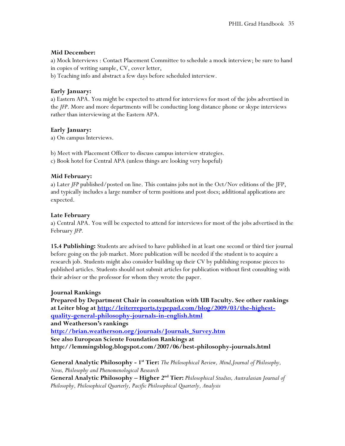# **Mid December:**

a) Mock Interviews : Contact Placement Committee to schedule a mock interview; be sure to hand in copies of writing sample, CV, cover letter,

b) Teaching info and abstract a few days before scheduled interview.

# **Early January:**

a) Eastern APA. You might be expected to attend for interviews for most of the jobs advertised in the *JFP*. More and more departments will be conducting long distance phone or skype interviews rather than interviewing at the Eastern APA.

# **Early January:**

a) On campus Interviews.

b) Meet with Placement Officer to discuss campus interview strategies.

c) Book hotel for Central APA (unless things are looking very hopeful)

# **Mid February:**

a) Later *JFP* published/posted on line. This contains jobs not in the Oct/Nov editions of the JFP, and typically includes a large number of term positions and post docs; additional applications are expected.

# **Late February**

a) Central APA. You will be expected to attend for interviews for most of the jobs advertised in the February *JFP.*

**15.4 Publishing:** Students are advised to have published in at least one second or third tier journal before going on the job market. More publication will be needed if the student is to acquire a research job. Students might also consider building up their CV by publishing response pieces to published articles. Students should not submit articles for publication without first consulting with their adviser or the professor for whom they wrote the paper.

# **Journal Rankings**

**Prepared by Department Chair in consultation with UB Faculty. See other rankings at Leiter blog a[t http://leiterreports.typepad.com/blog/2009/03/the-highest](http://leiterreports.typepad.com/blog/2009/03/the-highest-quality-general-philosophy-journals-in-english.html)[quality-general-philosophy-journals-in-english.html](http://leiterreports.typepad.com/blog/2009/03/the-highest-quality-general-philosophy-journals-in-english.html) and Weatherson's rankings [http://brian.weatherson.org/journals/Journals\\_Survey.htm](http://brian.weatherson.org/journals/Journals_Survey.htm) See also European Sciente Foundation Rankings at http://lemmingsblog.blogspot.com/2007/06/best-philosophy-journals.html**

**General Analytic Philosophy - 1 st Tier:** *The Philosophical Review, Mind,Journal of Philosophy, Nous, Philosophy and Phenomenological Research* **General Analytic Philosophy – Higher 2nd Tier:** *Philosophical Studies, Australasian Journal of Philosophy, Philosophical Quarterly, Pacific Philosophical Quarterly, Analysis*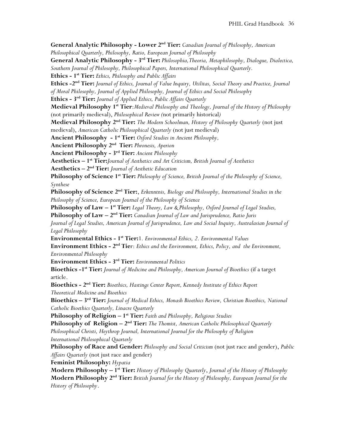**General Analytic Philosophy - Lower 2nd Tier:** *Canadian Journal of Philosophy, American Philosophical Quarterly, Philosophy, Ratio, European Journal of Philosophy* **General Analytic Philosophy - 3 rd Tier:** *Philosophia,Theoria, Metaphilosophy, Dialogue, Dialectica, Southern Journal of Philosophy, Philosophical Papers, International Philosophical Quarterly.*  **Ethics - 1 st Tier:** *Ethics, Philosophy and Public Affairs* **Ethics -2 nd Tier:** *Journal of Ethics, Journal of Value Inquiry, Utilitas, Social Theory and Practice, Journal of Moral Philosophy, Journal of Applied Philosophy, Journal of Ethics and Social Philosoph*y **Ethics - 3 rd Tier:** *Journal of Applied Ethics, Public Affairs Quarterly* **Medieval Philosophy 1st Tier**:*Medieval Philosophy and Theology, Journal of the History of Philosophy*  (not primarily medieval), *Philosophical Review (*not primarily historical*)* **Medieval Philosophy 2nd Tier:** *The Modern Schoolman, History of Philosophy Quarterly* (not just medieval), *American Catholic Philosophical Quarterly* (not just medieval) **Ancient Philosophy - 1 st Tier:** *Oxford Studies in Ancient Philosophy,* **Ancient Philosophy 2nd Tier:** *Phronesis, Aperion* **Ancient Philosophy - 3 rd Tier:** *Ancient Philosophy* **Aesthetics – 1 st Tier:***Journal of Aesthetics and Art Criticism, British Journal of Aesthetics* **Aesthetics – 2 nd Tier:** *Journal of Aesthetic Education* **Philosophy of Science 1st Tier:** *Philosophy of Science, British Journal of the Philosophy of Science, Synthese* **Philosophy of Science 2nd Tier:**, *Erkenntnis, Biology and Philosophy, International Studies in the Philosophy of Science, European Journal of the Philosophy of Science* **Philosophy of Law – 1 st Tier:** *Legal Theory, Law & Philosophy, Oxford Journal of Legal Studies,*  **Philosophy of Law – 2<sup>nd</sup> Tier:** Canadian Journal of Law and Jurisprudence, Ratio Juris *Journal of Legal Studies, American Journal of Jurisprudence, Law and Social Inquiry, Australasian Journal of Legal Philosophy*  **Environmental Ethics - 1 st Tier:**1*. Environmental Ethics, 2. Environmental Values* **Environment Ethics - 2<sup>nd</sup> Tie**r: *Ethics and the Environment, Ethics, Policy, and the Environment, Environmental Philosophy* **Environment Ethics - 3 rd Tier:** *Environmental Politics* **Bioethics -1 st Tier:** *Journal of Medicine and Philosophy, American Journal of Bioethics* (if a target article. **Bioethics - 2 nd Tier:** *Bioethics, Hastings Center Report, Kennedy Institute of Ethics Report Theoretical Medicine and Bioethics* **Bioethics – 3 rd Tier:** *Journal of Medical Ethics, Monash Bioethics Review, Christian Bioethics, National Catholic Bioethics Quarterly, Linacre Quarterly* Philosophy of Religion - 1<sup>st</sup> Tier: Faith and Philosophy, Religious Studies Philosophy of Religion - 2<sup>nd</sup> Tier: The Thomist, American Catholic Philosophical Quarterly *Philosophical Christi, Heythrop Journal, International Journal for the Philosophy of Religion International Philosophical Quarterly*  **Philosophy of Race and Gender:** *Philosophy and Social Criticism* (not just race and gender), *Public Affairs Quarterly* (not just race and gender) **Feminist Philosophy:** *Hypatia* **Modern Philosophy – 1 st Tier:** *History of Philosophy Quarterly*, *Journal of the History of Philosophy* **Modern Philosophy 2nd Tier:** *British Journal for the History of Philosophy, European Journal for the History of Philosophy*.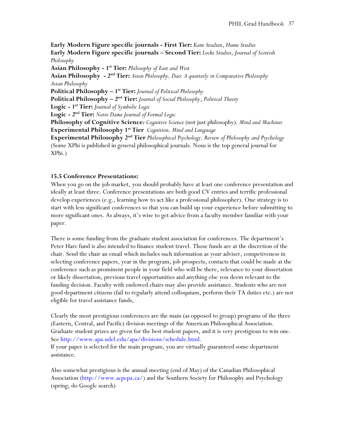**Early Modern Figure specific journals - First Tier:** *Kant Studien*, *Hume Studies* **Early Modern Figure specific journals – Second Tier:** *Locke Studies*, *Journal of Scottish Philosophy*

**Asian Philosophy - 1 st Tier:** *Philosophy of East and West*

**Asian Philosophy - 2 nd Tier:** *Asian Philosophy, Dao: A quarterly in Comparative Philosophy Asian Philosophy*

**Political Philosophy – 1 st Tier:** *Journal of Political Philosophy*

**Political Philosophy – 2<sup>nd</sup> Tier:** *Journal of Social Philosophy*, *Political Theory* 

**Logic - 1 st Tier:** *Journal of Symbolic Logic*

**Logic - 2 nd Tier:** *Notre Dame Journal of Formal Logic*

**Philosophy of Cognitive Science***: Cognitive Science* (not just philosophy)*, Mind and Machines* **Experimental Philosophy 1st Tier** *Cognition, Mind and Language*

**Experimental Philosophy 2nd Tier** *Philosophical Psychology, Review of Philosophy and Psychology* (Some XPhi is published in general philosophical journals. Nous is the top general journal for XPhi.)

#### **15.5 Conference Presentations:**

When you go on the job market, you should probably have at least one conference presentation and ideally at least three. Conference presentations are both good CV entries and terrific professional develop experiences (e.g., learning how to act like a professional philosopher). One strategy is to start with less significant conferences so that you can build up your experience before submitting to more significant ones. As always, it's wise to get advice from a faculty member familiar with your paper.

There is some funding from the graduate student association for conferences. The department's Peter Hare fund is also intended to finance student travel. Those funds are at the discretion of the chair. Send the chair an email which includes such information as your adviser, competiveness in selecting conference papers, year in the program, job prospects, contacts that could be made at the conference such as prominent people in your field who will be there, relevance to your dissertation or likely dissertation, previous travel opportunities and anything else you deem relevant to the funding decision. Faculty with endowed chairs may also provide assistance. Students who are not good department citizens (fail to regularly attend colloquium, perform their TA duties etc.) are not eligible for travel assistance funds,

Clearly the most prestigious conferences are the main (as opposed to group) programs of the three (Eastern, Central, and Pacific) division meetings of the American Philosophical Association. Graduate student prizes are given for the best student papers, and it is very prestigious to win one. See http://www.apa.udel.edu/apa/divisions/schedule.html.

If your paper is selected for the main program, you are virtually guaranteed some department assistance.

Also somewhat prestigious is the annual meeting (end of May) of the Canadian Philosophical Association (http://www.acpcpa.ca/) and the Southern Society for Philosophy and Psychology (spring; do Google search)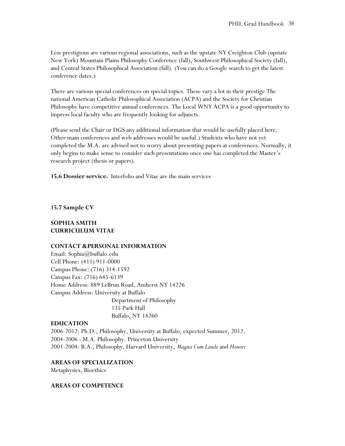Less prestigious are various regional associations, such as the upstate NY Creighton Club (upstate New York) Mountain Plains Philosophy Conference (fall), Southwest Philosophical Society (fall), and Central States Philosophical Association (fall). (You can do a Google search to get the latest conference dates.)

There are various special conferences on special topics. These vary a lot in their prestige The national American Catholic Philosophical Association (ACPA) and the Society for Christian Philosophy have competitive annual conferences. The Local WNY ACPA is a good opportunity to impress local faculty who are frequently looking for adjuncts.

(Please send the Chair or DGS any additional information that would be usefully placed here. Other main conferences and web addresses would be useful.) Students who have not yet completed the M.A. are advised not to worry about presenting papers at conferences. Normally, it only begins to make sense to consider such presentations once one has completed the Master's research project (thesis or papers).

**15.6 Dossier service.** Interfolio and Vitae are the main services

**15.7 Sample CV**

# **SOPHIA SMITH CURRICULUM VITAE**

#### **CONTACT &PERSONAL INFORMATION**

Email: Sophia@buffalo.edu Cell Phone: (411) 911-0000 Campus Phone: (716) 314-1592 Campus Fax: (716) 645-6139 Home Address: 889 LeBrun Road, Amherst NY 14226 Campus Address: University at Buffalo Department of Philosophy 135 Park Hall Buffalo, NY 14260

#### **EDUCATION**

2006-2012: Ph.D., Philosophy, University at Buffalo, expected Summer, 2012. 2004-2006 : M.A. Philosophy. Princeton University 2001-2004: B.A., Philosophy, Harvard University, *Magna Cum Laude* and *Honors* 

**AREAS OF SPECIALIZATION** 

Metaphysics, Bioethics

#### **AREAS OF COMPETENCE**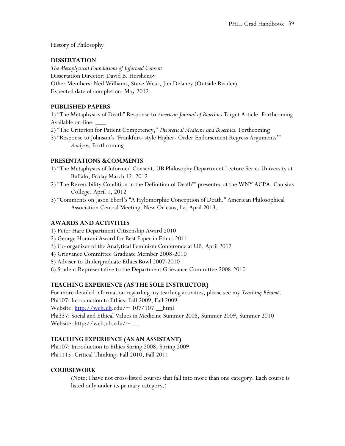History of Philosophy

# **DISSERTATION**

*The Metaphysical Foundations of Informed Consent*  Dissertation Director: David B. Hershenov Other Members: Neil Williams, Steve Wear, Jim Delaney (Outside Reader) Expected date of completion: May 2012.

# **PUBLISHED PAPERS**

1) "The Metaphysics of Death" Response to *American Journal of Bioethics* Target Article. Forthcoming Available on-line: \_\_\_

- 2) "The Criterion for Patient Competency," *Theoretical Medicine and Bioethics.* Forthcoming
- 3) "Response to Johnson's 'Frankfurt- style Higher- Order Endorsement Regress Arguments'" *Analysis*, Forthcoming

# **PRESENTATIONS &COMMENTS**

- 1) "The Metaphysics of Informed Consent. UB Philosophy Department Lecture Series University at Buffalo, Friday March 12, 2012
- 2) "The Reversibility Condition in the Definition of Death"" presented at the WNY ACPA, Canisius College. April 1, 2012
- 3) "Comments on Jason Eberl's "A Hylomorphic Conception of Death." American Philosophical Association Central Meeting. New Orleans, La. April 2013.

# **AWARDS AND ACTIVITIES**

- 1) Peter Hare Department Citizenship Award 2010
- 2) George Hourani Award for Best Paper in Ethics 2011
- 3) Co-organizer of the Analytical Feminism Conference at UB, April 2012
- 4) Grievance Committee Graduate Member 2008-2010
- 5) Adviser to Undergraduate Ethics Bowl 2007-2010
- 6) Student Representative to the Department Grievance Committee 2008-2010

# **TEACHING EXPERIENCE (AS THE SOLE INSTRUCTOR)**

For more detailed information regarding my teaching activities, please see my *Teaching Résumé*. Phi107: Introduction to Ethics: Fall 2009, Fall 2009 Website:  $\frac{http://web.ub.edu/~107/107.10101}{http://web.ub.edu/~107/107.10101}$ Phi337: Social and Ethical Values in Medicine Summer 2008, Summer 2009, Summer 2010 Website: http://web.ub.edu/~  $\_\_$ 

# **TEACHING EXPERIENCE (AS AN ASSISTANT)**

Phi107: Introduction to Ethics Spring 2008, Spring 2009 Phi1115: Critical Thinking: Fall 2010, Fall 2011

# **COURSEWORK**

(Note: I have not cross-listed courses that fall into more than one category. Each course is listed only under its primary category.)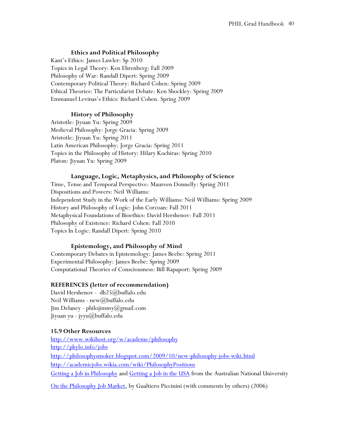# **Ethics and Political Philosophy**

Kant's Ethics: James Lawler: Sp 2010 Topics in Legal Theory: Ken Ehrenberg: Fall 2009 Philosophy of War: Randall Dipert: Spring 2009 Contemporary Political Theory: Richard Cohen: Spring 2009 Ethical Theories: The Particularist Debate: Ken Shockley: Spring 2009 Emmanuel Levinas's Ethics: Richard Cohen. Spring 2009

# **History of Philosophy**

Aristotle: Jiyuan Yu: Spring 2009 Medieval Philosophy: Jorge Gracia: Spring 2009 Aristotle: Jiyuan Yu: Spring 2011 Latin American Philosophy: Jorge Gracia: Spring 2011 Topics in the Philosophy of History: Hilary Kochiras: Spring 2010 Platon: Jiyuan Yu: Spring 2009

# **Language, Logic, Metaphysics, and Philosophy of Science**

Time, Tense and Temporal Perspective: Maureen Donnelly: Spring 2011 Dispositions and Powers: Neil Williams: Independent Study in the Work of the Early Williams: Neil Williams: Spring 2009 History and Philosophy of Logic: John Corcoan: Fall 2011 Metaphysical Foundations of Bioethics: David Hershenov: Fall 2011 Philosophy of Existence: Richard Cohen: Fall 2010 Topics In Logic: Randall Dipert: Spring 2010

# **Epistemology, and Philosophy of Mind**

Contemporary Debates in Epistemology: James Beebe: Spring 2011 Experimental Philosophy: James Beebe: Spring 2009 Computational Theories of Consciousness: Bill Rapaport: Spring 2009

# **REFERENCES (letter of recommendation)**

David Hershenov - dh25@buffalo.edu Neil Williams - new@buffalo.edu Jim Delaney - philojimmy@gmail.com Jiyuan yu - jyyu@buffalo.edu

# **15.9 Other Resources**

<http://www.wikihost.org/w/academe/philosophy> <http://phylo.info/jobs> <http://philosophysmoker.blogspot.com/2009/10/new-philosophy-jobs-wiki.html> <http://academicjobs.wikia.com/wiki/PhilosophyPositions> [Getting a Job in Philosophy](http://philosophy.anu.edu.au/getting-job-philosophy) and [Getting a Job in the USA](http://philosophy.anu.edu.au/getting-job-usa) from the Australian National University

[On the Philosophy Job Market,](http://philosophyofbrains.com/2006/02/01/on-the-philosophy-job-market.aspx) by Gualtiero Piccinini (with comments by others) (2006)